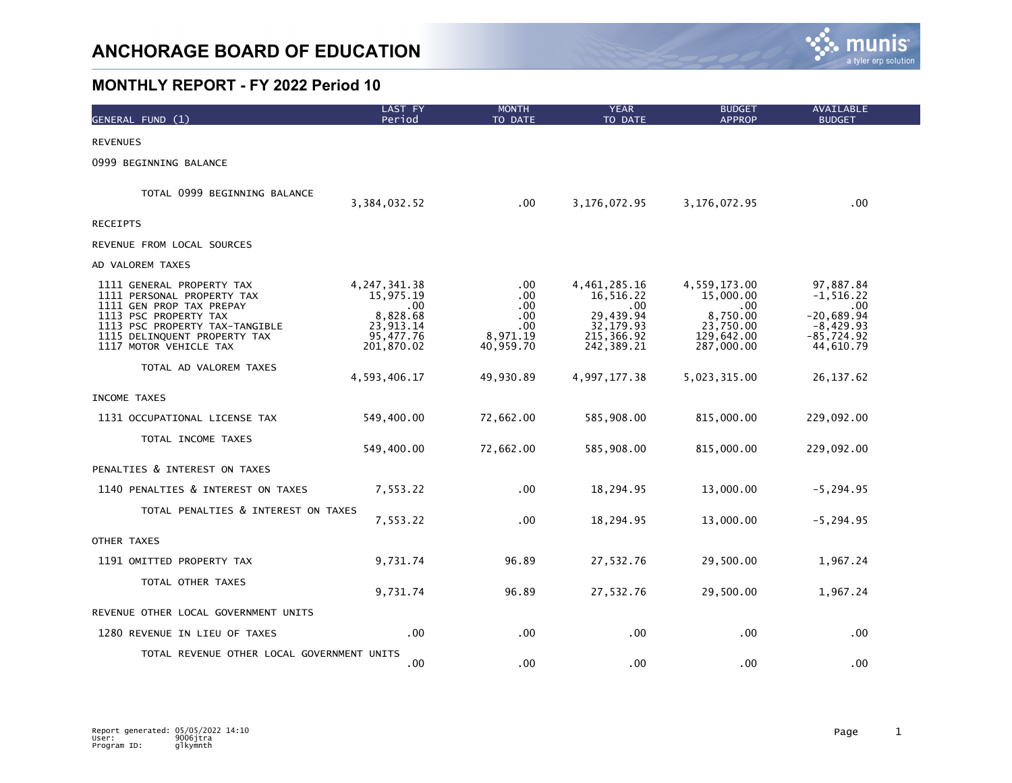

| GENERAL FUND (1)                                                                                                                                                                                         | <b>LAST FY</b><br>Period                                                                   | <b>MONTH</b><br>TO DATE                                    | <b>YEAR</b><br>TO DATE                                                                  | <b>BUDGET</b><br><b>APPROP</b>                                                         | <b>AVAILABLE</b><br><b>BUDGET</b>                                                               |
|----------------------------------------------------------------------------------------------------------------------------------------------------------------------------------------------------------|--------------------------------------------------------------------------------------------|------------------------------------------------------------|-----------------------------------------------------------------------------------------|----------------------------------------------------------------------------------------|-------------------------------------------------------------------------------------------------|
| <b>REVENUES</b>                                                                                                                                                                                          |                                                                                            |                                                            |                                                                                         |                                                                                        |                                                                                                 |
| 0999 BEGINNING BALANCE                                                                                                                                                                                   |                                                                                            |                                                            |                                                                                         |                                                                                        |                                                                                                 |
| TOTAL 0999 BEGINNING BALANCE                                                                                                                                                                             | 3,384,032.52                                                                               | $.00 \,$                                                   | 3,176,072.95                                                                            | 3,176,072.95                                                                           | $.00 \,$                                                                                        |
| <b>RECEIPTS</b>                                                                                                                                                                                          |                                                                                            |                                                            |                                                                                         |                                                                                        |                                                                                                 |
| REVENUE FROM LOCAL SOURCES                                                                                                                                                                               |                                                                                            |                                                            |                                                                                         |                                                                                        |                                                                                                 |
| AD VALOREM TAXES                                                                                                                                                                                         |                                                                                            |                                                            |                                                                                         |                                                                                        |                                                                                                 |
| 1111 GENERAL PROPERTY TAX<br>1111 PERSONAL PROPERTY TAX<br>1111 GEN PROP TAX PREPAY<br>1113 PSC PROPERTY TAX<br>1113 PSC PROPERTY TAX-TANGIBLE<br>1115 DELINQUENT PROPERTY TAX<br>1117 MOTOR VEHICLE TAX | 4, 247, 341. 38<br>15,975.19<br>.00.<br>8,828.68<br>23, 913. 14<br>95,477.76<br>201,870.02 | .00<br>.00<br>.00.<br>.00.<br>.00<br>8,971.19<br>40,959.70 | 4,461,285.16<br>16,516.22<br>.00<br>29,439.94<br>32, 179.93<br>215,366.92<br>242,389.21 | 4,559,173.00<br>15,000.00<br>.00.<br>8,750.00<br>23,750.00<br>129,642.00<br>287,000.00 | 97,887.84<br>$-1, 516.22$<br>$.00 \,$<br>$-20,689.94$<br>$-8,429.93$<br>-85,724.92<br>44,610.79 |
| TOTAL AD VALOREM TAXES                                                                                                                                                                                   | 4,593,406.17                                                                               | 49,930.89                                                  | 4,997,177.38                                                                            | 5,023,315.00                                                                           | 26, 137.62                                                                                      |
| INCOME TAXES                                                                                                                                                                                             |                                                                                            |                                                            |                                                                                         |                                                                                        |                                                                                                 |
| 1131 OCCUPATIONAL LICENSE TAX                                                                                                                                                                            | 549,400.00                                                                                 | 72,662.00                                                  | 585,908.00                                                                              | 815,000.00                                                                             | 229,092.00                                                                                      |
| TOTAL INCOME TAXES                                                                                                                                                                                       | 549,400.00                                                                                 | 72,662.00                                                  | 585,908.00                                                                              | 815,000.00                                                                             | 229,092.00                                                                                      |
| PENALTIES & INTEREST ON TAXES                                                                                                                                                                            |                                                                                            |                                                            |                                                                                         |                                                                                        |                                                                                                 |
| 1140 PENALTIES & INTEREST ON TAXES                                                                                                                                                                       | 7,553.22                                                                                   | .00                                                        | 18,294.95                                                                               | 13,000.00                                                                              | $-5, 294.95$                                                                                    |
| TOTAL PENALTIES & INTEREST ON TAXES                                                                                                                                                                      | 7,553.22                                                                                   | .00                                                        | 18,294.95                                                                               | 13,000.00                                                                              | $-5, 294.95$                                                                                    |
| OTHER TAXES                                                                                                                                                                                              |                                                                                            |                                                            |                                                                                         |                                                                                        |                                                                                                 |
| 1191 OMITTED PROPERTY TAX                                                                                                                                                                                | 9,731.74                                                                                   | 96.89                                                      | 27,532.76                                                                               | 29,500.00                                                                              | 1,967.24                                                                                        |
| TOTAL OTHER TAXES                                                                                                                                                                                        | 9,731.74                                                                                   | 96.89                                                      | 27,532.76                                                                               | 29,500.00                                                                              | 1,967.24                                                                                        |
| REVENUE OTHER LOCAL GOVERNMENT UNITS                                                                                                                                                                     |                                                                                            |                                                            |                                                                                         |                                                                                        |                                                                                                 |
| 1280 REVENUE IN LIEU OF TAXES                                                                                                                                                                            | $.00 \,$                                                                                   | .00                                                        | $.00 \,$                                                                                | .00                                                                                    | $.00 \,$                                                                                        |
| TOTAL REVENUE OTHER LOCAL GOVERNMENT UNITS                                                                                                                                                               | $.00 \,$                                                                                   | .00                                                        | .00                                                                                     | .00.                                                                                   | .00                                                                                             |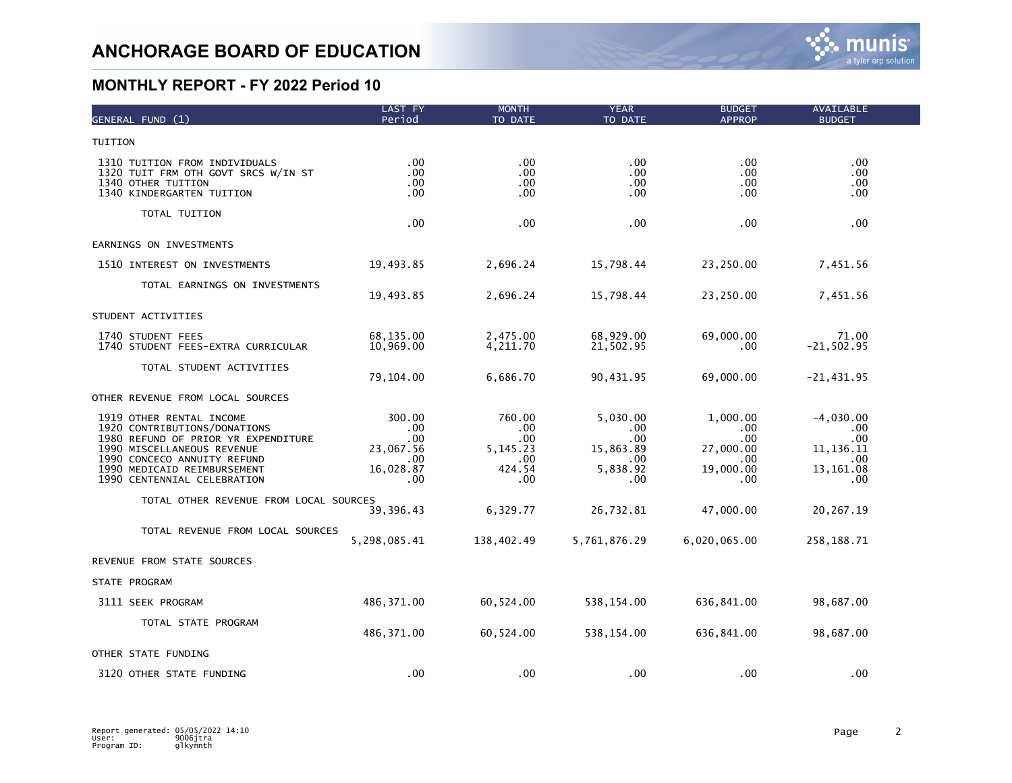| GENERAL FUND (1)                                                                                                                                                                                                           | LAST FY<br>Period                                                   | <b>MONTH</b><br>TO DATE                                    | <b>YEAR</b><br>TO DATE                                                       | <b>BUDGET</b><br><b>APPROP</b>                                 | AVAILABLE<br><b>BUDGET</b>                                             |  |
|----------------------------------------------------------------------------------------------------------------------------------------------------------------------------------------------------------------------------|---------------------------------------------------------------------|------------------------------------------------------------|------------------------------------------------------------------------------|----------------------------------------------------------------|------------------------------------------------------------------------|--|
| TUITION                                                                                                                                                                                                                    |                                                                     |                                                            |                                                                              |                                                                |                                                                        |  |
| 1310 TUITION FROM INDIVIDUALS<br>1320 TUIT FRM OTH GOVT SRCS W/IN ST<br>1340 OTHER TUITION<br>1340 KINDERGARTEN TUITION                                                                                                    | $.00 \times$<br>.00<br>$.00 \,$<br>.00                              | .00<br>.00<br>.00<br>.00                                   | .00.<br>.00<br>.00.<br>.00                                                   | .00<br>.00.<br>.00<br>.00                                      | .00.<br>.00.<br>.00.<br>.00.                                           |  |
| TOTAL TUITION                                                                                                                                                                                                              | .00                                                                 | .00                                                        | .00                                                                          | .00                                                            | .00.                                                                   |  |
| EARNINGS ON INVESTMENTS                                                                                                                                                                                                    |                                                                     |                                                            |                                                                              |                                                                |                                                                        |  |
| 1510 INTEREST ON INVESTMENTS                                                                                                                                                                                               | 19,493.85                                                           | 2,696.24                                                   | 15,798.44                                                                    | 23,250.00                                                      | 7,451.56                                                               |  |
| TOTAL EARNINGS ON INVESTMENTS                                                                                                                                                                                              | 19,493.85                                                           | 2,696.24                                                   | 15,798.44                                                                    | 23,250.00                                                      | 7,451.56                                                               |  |
| STUDENT ACTIVITIES                                                                                                                                                                                                         |                                                                     |                                                            |                                                                              |                                                                |                                                                        |  |
| 1740 STUDENT FEES<br>1740 STUDENT FEES-EXTRA CURRICULAR                                                                                                                                                                    | 68,135.00<br>10,969.00                                              | 2,475.00<br>4,211.70                                       | 68,929.00<br>21,502.95                                                       | 69,000.00<br>.00                                               | 71.00<br>$-21, 502.95$                                                 |  |
| TOTAL STUDENT ACTIVITIES                                                                                                                                                                                                   | 79,104.00                                                           | 6,686.70                                                   | 90,431.95                                                                    | 69,000.00                                                      | $-21,431.95$                                                           |  |
| OTHER REVENUE FROM LOCAL SOURCES                                                                                                                                                                                           |                                                                     |                                                            |                                                                              |                                                                |                                                                        |  |
| 1919 OTHER RENTAL INCOME<br>1920 CONTRIBUTIONS/DONATIONS<br>1980 REFUND OF PRIOR YR EXPENDITURE<br>1990 MISCELLANEOUS REVENUE<br>1990 CONCECO ANNUITY REFUND<br>1990 MEDICAID REIMBURSEMENT<br>1990 CENTENNIAL CELEBRATION | 300.00<br>.00.<br>.00.<br>23,067.56<br>$.00 \,$<br>16,028.87<br>.00 | 760.00<br>.00<br>.00<br>5, 145. 23<br>.00<br>424.54<br>.00 | 5,030.00<br>.00.<br>$.00 \,$<br>15,863.89<br>$.00 \times$<br>5,838.92<br>.00 | 1,000.00<br>.00<br>.00<br>27,000.00<br>.00<br>19,000.00<br>.00 | $-4,030.00$<br>$.00 \,$<br>.00<br>11,136.11<br>.00<br>13,161.08<br>.00 |  |
| TOTAL OTHER REVENUE FROM LOCAL SOURCES                                                                                                                                                                                     | 39,396.43                                                           | 6,329.77                                                   | 26,732.81                                                                    | 47,000.00                                                      | 20,267.19                                                              |  |
| TOTAL REVENUE FROM LOCAL SOURCES                                                                                                                                                                                           | 5,298,085.41                                                        | 138,402.49                                                 | 5,761,876.29                                                                 | 6,020,065.00                                                   | 258,188.71                                                             |  |
| REVENUE FROM STATE SOURCES                                                                                                                                                                                                 |                                                                     |                                                            |                                                                              |                                                                |                                                                        |  |
| STATE PROGRAM                                                                                                                                                                                                              |                                                                     |                                                            |                                                                              |                                                                |                                                                        |  |
| 3111 SEEK PROGRAM                                                                                                                                                                                                          | 486, 371.00                                                         | 60,524.00                                                  | 538,154.00                                                                   | 636,841.00                                                     | 98,687.00                                                              |  |
| TOTAL STATE PROGRAM                                                                                                                                                                                                        | 486, 371.00                                                         | 60,524.00                                                  | 538,154.00                                                                   | 636,841.00                                                     | 98,687.00                                                              |  |
| OTHER STATE FUNDING                                                                                                                                                                                                        |                                                                     |                                                            |                                                                              |                                                                |                                                                        |  |
| 3120 OTHER STATE FUNDING                                                                                                                                                                                                   | .00                                                                 | .00                                                        | .00                                                                          | .00                                                            | .00                                                                    |  |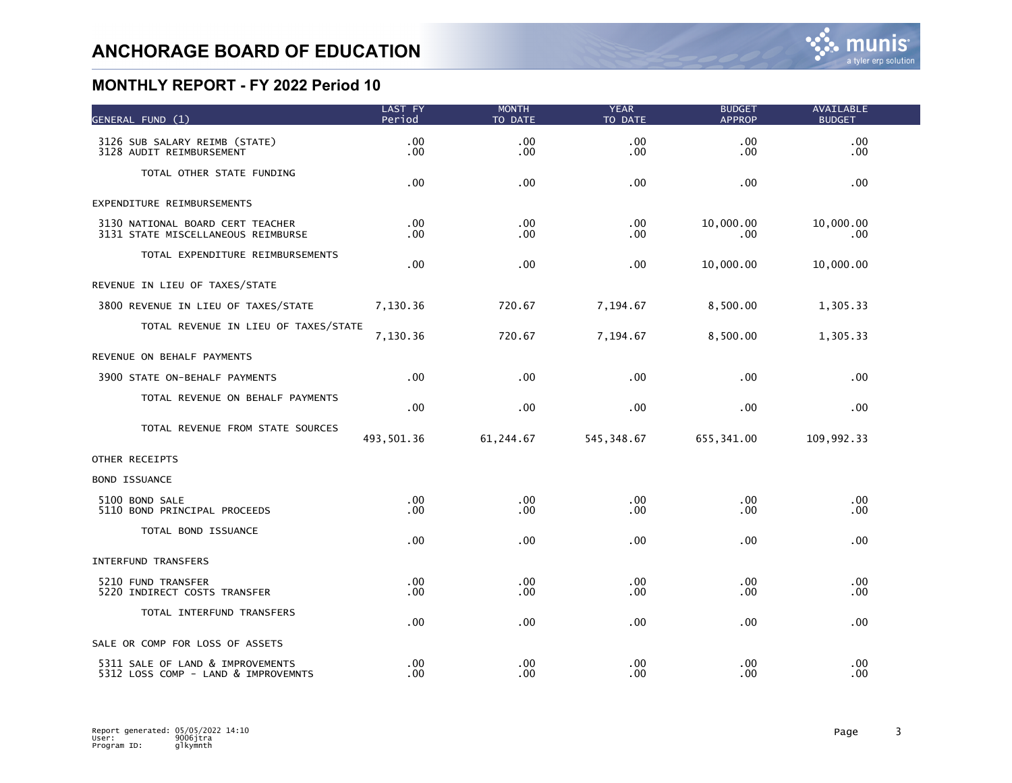| GENERAL FUND (1)                                                        | LAST FY<br>Period    | <b>MONTH</b><br>TO DATE              | <b>YEAR</b><br>TO DATE | <b>BUDGET</b><br><b>APPROP</b> | <b>AVAILABLE</b><br><b>BUDGET</b> |  |
|-------------------------------------------------------------------------|----------------------|--------------------------------------|------------------------|--------------------------------|-----------------------------------|--|
| 3126 SUB SALARY REIMB (STATE)<br>3128 AUDIT REIMBURSEMENT               | .00<br>.00           | .00<br>.00                           | .00<br>.00             | .00<br>.00.                    | .00<br>.00.                       |  |
| TOTAL OTHER STATE FUNDING                                               | .00                  | .00                                  | .00                    | .00                            | .00.                              |  |
| EXPENDITURE REIMBURSEMENTS                                              |                      |                                      |                        |                                |                                   |  |
| 3130 NATIONAL BOARD CERT TEACHER<br>3131 STATE MISCELLANEOUS REIMBURSE  | .00<br>.00.          | .00 <sub>1</sub><br>.00              | .00<br>.00             | 10,000.00<br>.00.              | 10,000.00<br>.00.                 |  |
| TOTAL EXPENDITURE REIMBURSEMENTS                                        | .00                  | $.00 \,$                             | .00                    | 10,000.00                      | 10,000.00                         |  |
| REVENUE IN LIEU OF TAXES/STATE                                          |                      |                                      |                        |                                |                                   |  |
| 3800 REVENUE IN LIEU OF TAXES/STATE                                     | 7,130.36             | 720.67                               | 7,194.67               | 8,500.00                       | 1,305.33                          |  |
| TOTAL REVENUE IN LIEU OF TAXES/STATE                                    | 7,130.36             | 720.67                               | 7,194.67               | 8,500.00                       | 1,305.33                          |  |
| REVENUE ON BEHALF PAYMENTS                                              |                      |                                      |                        |                                |                                   |  |
| 3900 STATE ON-BEHALF PAYMENTS                                           | .00                  | $.00 \,$                             | .00                    | .00.                           | .00.                              |  |
| TOTAL REVENUE ON BEHALF PAYMENTS                                        | .00                  | .00                                  | .00                    | .00                            | .00                               |  |
| TOTAL REVENUE FROM STATE SOURCES                                        | 493,501.36           | 61,244.67                            | 545, 348.67            | 655, 341.00                    | 109,992.33                        |  |
| OTHER RECEIPTS                                                          |                      |                                      |                        |                                |                                   |  |
| <b>BOND ISSUANCE</b>                                                    |                      |                                      |                        |                                |                                   |  |
| 5100 BOND SALE<br>5110 BOND PRINCIPAL PROCEEDS                          | .00<br>.00           | .00.<br>$.00 \,$                     | .00<br>.00             | .00.<br>.00                    | .00.<br>.00.                      |  |
| TOTAL BOND ISSUANCE                                                     | .00                  | .00 <sub>1</sub>                     | .00                    | .00.                           | .00                               |  |
| <b>INTERFUND TRANSFERS</b>                                              |                      |                                      |                        |                                |                                   |  |
| 5210 FUND TRANSFER<br>5220 INDIRECT COSTS TRANSFER                      | $.00 \,$<br>$.00 \,$ | .00.<br>.00                          | .00<br>.00             | .00.<br>.00                    | .00.<br>.00.                      |  |
| TOTAL INTERFUND TRANSFERS                                               | .00                  | $.00 \,$                             | .00                    | .00.                           | .00.                              |  |
| SALE OR COMP FOR LOSS OF ASSETS                                         |                      |                                      |                        |                                |                                   |  |
| 5311 SALE OF LAND & IMPROVEMENTS<br>5312 LOSS COMP - LAND & IMPROVEMNTS | $.00 \,$<br>.00      | .00 <sub>1</sub><br>.00 <sub>1</sub> | .00<br>.00             | .00.<br>.00.                   | .00<br>.00                        |  |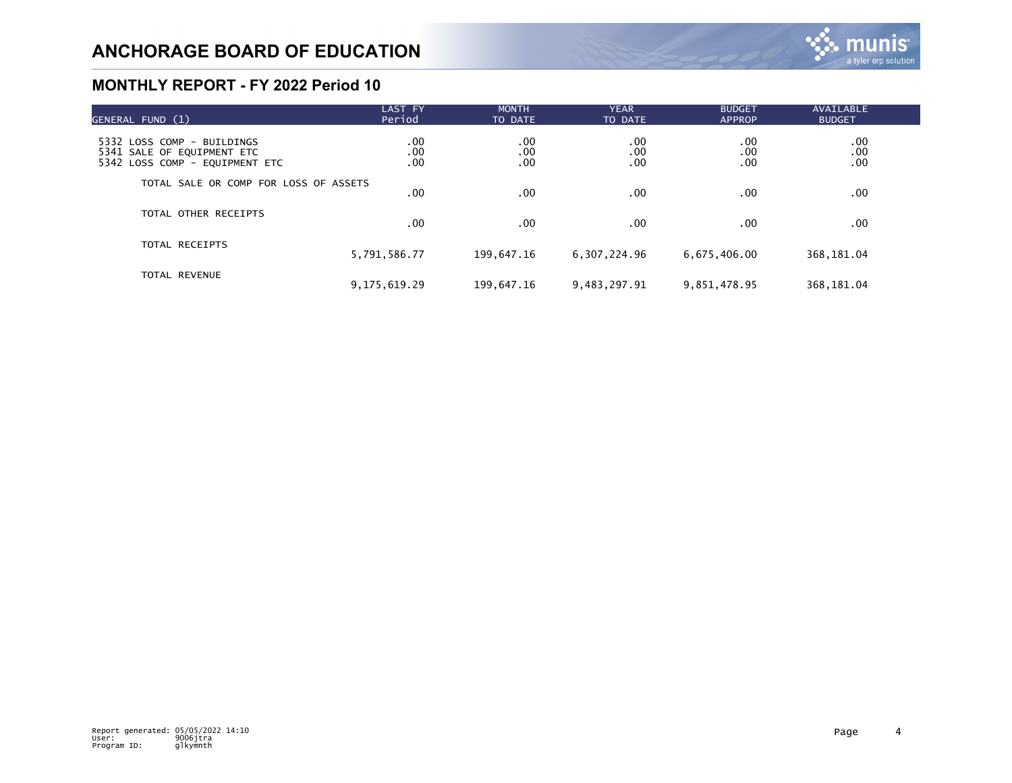| GENERAL FUND (1)                                                                           | LAST FY<br>Period | <b>MONTH</b><br>TO DATE | <b>YEAR</b><br>TO DATE | <b>BUDGET</b><br><b>APPROP</b> | <b>AVAILABLE</b><br><b>BUDGET</b> |  |
|--------------------------------------------------------------------------------------------|-------------------|-------------------------|------------------------|--------------------------------|-----------------------------------|--|
| 5332 LOSS COMP - BUILDINGS<br>5341 SALE OF EQUIPMENT ETC<br>5342 LOSS COMP - EQUIPMENT ETC | .00<br>.00<br>.00 | .00<br>.00<br>.00       | .00<br>.00<br>.00      | .00<br>.00<br>.00              | 00.<br>00.<br>00.                 |  |
| TOTAL SALE OR COMP FOR LOSS OF ASSETS                                                      | $.00 \,$          | .00                     | .00                    | .00.                           | .00                               |  |
| TOTAL OTHER RECEIPTS                                                                       | .00 <sub>1</sub>  | .00                     | .00                    | .00.                           | .00                               |  |
| TOTAL RECEIPTS                                                                             | 5,791,586.77      | 199,647.16              | 6,307,224.96           | 6,675,406.00                   | 368, 181.04                       |  |
| TOTAL REVENUE                                                                              | 9, 175, 619, 29   | 199,647.16              | 9,483,297.91           | 9,851,478.95                   | 368, 181.04                       |  |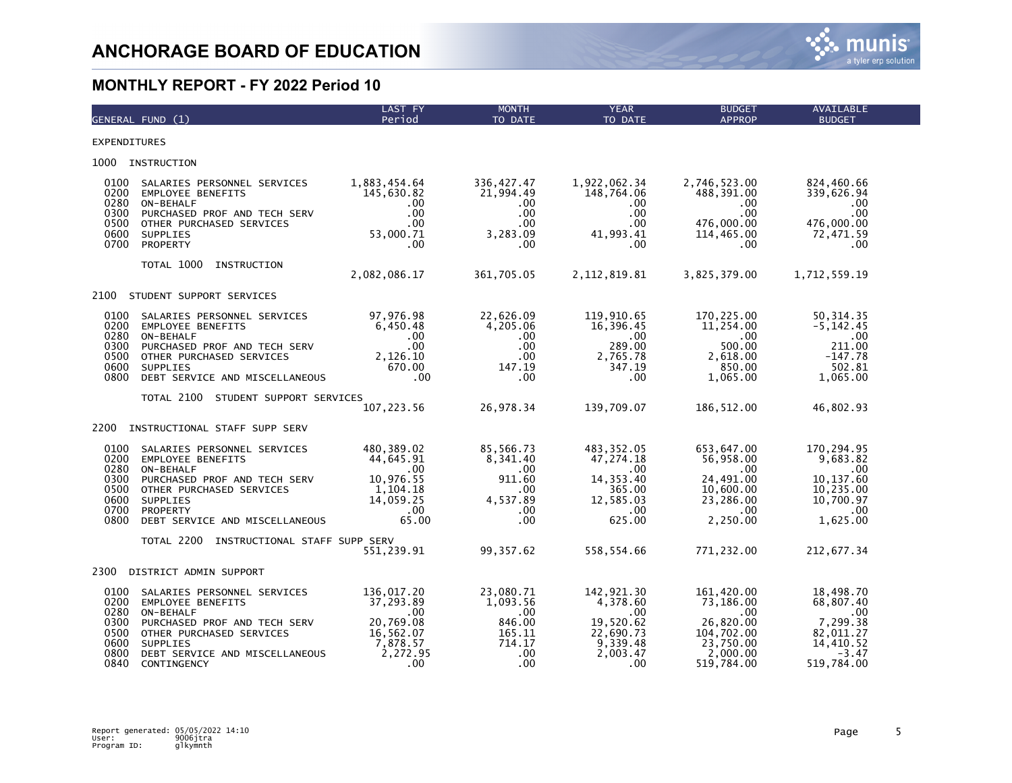

|                                                              | GENERAL FUND (1)                                                                                                                                                                              | <b>LAST FY</b><br>Period                                                                             | <b>MONTH</b><br>TO DATE                                                            | <b>YEAR</b><br>TO DATE                                                                          | <b>BUDGET</b><br><b>APPROP</b>                                                                    | <b>AVAILABLE</b><br><b>BUDGET</b>                                                            |
|--------------------------------------------------------------|-----------------------------------------------------------------------------------------------------------------------------------------------------------------------------------------------|------------------------------------------------------------------------------------------------------|------------------------------------------------------------------------------------|-------------------------------------------------------------------------------------------------|---------------------------------------------------------------------------------------------------|----------------------------------------------------------------------------------------------|
| <b>EXPENDITURES</b>                                          |                                                                                                                                                                                               |                                                                                                      |                                                                                    |                                                                                                 |                                                                                                   |                                                                                              |
| 1000                                                         | INSTRUCTION                                                                                                                                                                                   |                                                                                                      |                                                                                    |                                                                                                 |                                                                                                   |                                                                                              |
| 0100<br>0200<br>0280<br>0300<br>0500<br>0600<br>0700         | SALARIES PERSONNEL SERVICES<br><b>EMPLOYEE BENEFITS</b><br>ON-BEHALF<br>PURCHASED PROF AND TECH SERV<br>OTHER PURCHASED SERVICES<br>SUPPLIES<br>PROPERTY                                      | 1,883,454.64<br>145,630.82<br>.00<br>$.00 \,$<br>$.00 \,$<br>53,000.71<br>.00                        | 336, 427.47<br>21,994.49<br>$.00 \,$<br>.00<br>$.00 \,$<br>3,283.09<br>.00         | 1,922,062.34<br>148,764.06<br>$.00 \,$<br>.00<br>$.00 \,$<br>41,993.41<br>$.00 \,$              | 2,746,523.00<br>488,391.00<br>.00.<br>.00<br>476,000.00<br>114,465.00<br>.00                      | 824,460.66<br>339,626.94<br>$.00 \,$<br>.00.<br>476,000.00<br>72,471.59<br>$.00 \,$          |
|                                                              | TOTAL 1000<br>INSTRUCTION                                                                                                                                                                     | 2,082,086.17                                                                                         | 361,705.05                                                                         | 2, 112, 819.81                                                                                  | 3,825,379.00                                                                                      | 1,712,559.19                                                                                 |
| 2100                                                         | STUDENT SUPPORT SERVICES                                                                                                                                                                      |                                                                                                      |                                                                                    |                                                                                                 |                                                                                                   |                                                                                              |
| 0100<br>0200<br>0280<br>0300<br>0500<br>0600<br>0800         | SALARIES PERSONNEL SERVICES<br><b>EMPLOYEE BENEFITS</b><br>ON-BEHALF<br>PURCHASED PROF AND TECH SERV<br>OTHER PURCHASED SERVICES<br><b>SUPPLIES</b><br>DEBT SERVICE AND MISCELLANEOUS         | 97,976.98<br>6,450.48<br>$.00 \,$<br>$.00 \,$<br>2,126.10<br>670.00<br>.00                           | 22,626.09<br>4,205.06<br>.00.<br>.00.<br>.00 <sub>1</sub><br>147.19<br>.00         | 119,910.65<br>16,396.45<br>$.00 \,$<br>289.00<br>2,765.78<br>347.19<br>.00                      | 170,225.00<br>11,254.00<br>.00<br>500.00<br>2,618.00<br>850.00<br>1,065.00                        | 50,314.35<br>$-5, 142.45$<br>.00<br>211.00<br>$-147.78$<br>502.81<br>1,065.00                |
|                                                              | TOTAL 2100<br>STUDENT SUPPORT SERVICES                                                                                                                                                        | 107, 223.56                                                                                          | 26,978.34                                                                          | 139,709.07                                                                                      | 186, 512.00                                                                                       | 46,802.93                                                                                    |
| 2200                                                         | INSTRUCTIONAL STAFF SUPP SERV                                                                                                                                                                 |                                                                                                      |                                                                                    |                                                                                                 |                                                                                                   |                                                                                              |
| 0100<br>0200<br>0280<br>0300<br>0500<br>0600<br>0700<br>0800 | SALARIES PERSONNEL SERVICES<br><b>EMPLOYEE BENEFITS</b><br>ON-BEHALF<br>PURCHASED PROF AND TECH SERV<br>OTHER PURCHASED SERVICES<br>SUPPLIES<br>PROPERTY<br>DEBT SERVICE AND MISCELLANEOUS    | 480,389.02<br>44,645.91<br>$.00 \,$<br>10,976.55<br>1,104.18<br>14,059.25<br>.00<br>65.00            | 85,566.73<br>8,341.40<br>.00<br>911.60<br>.00.<br>4,537.89<br>.00<br>$.00 \,$      | 483, 352.05<br>47,274.18<br>$.00 \,$<br>14, 353.40<br>365.00<br>12,585.03<br>$.00 \,$<br>625.00 | 653,647.00<br>56,958.00<br>.00<br>24,491.00<br>10,600.00<br>23,286.00<br>$.00 \,$<br>2,250.00     | 170,294.95<br>9,683.82<br>$.00 \,$<br>10,137.60<br>10,235.00<br>10,700.97<br>.00<br>1,625.00 |
|                                                              | TOTAL 2200<br>INSTRUCTIONAL STAFF SUPP SERV                                                                                                                                                   | 551,239.91                                                                                           | 99, 357.62                                                                         | 558,554.66                                                                                      | 771,232.00                                                                                        | 212,677.34                                                                                   |
| 2300                                                         | DISTRICT ADMIN SUPPORT                                                                                                                                                                        |                                                                                                      |                                                                                    |                                                                                                 |                                                                                                   |                                                                                              |
| 0100<br>0200<br>0280<br>0300<br>0500<br>0600<br>0800<br>0840 | SALARIES PERSONNEL SERVICES<br><b>EMPLOYEE BENEFITS</b><br>ON-BEHALF<br>PURCHASED PROF AND TECH SERV<br>OTHER PURCHASED SERVICES<br>SUPPLIES<br>DEBT SERVICE AND MISCELLANEOUS<br>CONTINGENCY | 136,017.20<br>37.293.89<br>.00<br>20,769.08<br>16,562.07<br>7,878.57<br>2,272.95<br>.00 <sub>1</sub> | 23,080.71<br>1,093.56<br>$.00 \,$<br>846.00<br>165.11<br>714.17<br>$.00 \,$<br>.00 | 142,921.30<br>4,378.60<br>$.00 \,$<br>19,520.62<br>22,690.73<br>9,339.48<br>2,003.47<br>.00     | 161,420.00<br>73,186.00<br>.00.<br>26,820.00<br>104,702.00<br>23,750.00<br>2,000.00<br>519,784.00 | 18,498.70<br>68,807.40<br>.00<br>7,299.38<br>82,011.27<br>14,410.52<br>$-3.47$<br>519,784.00 |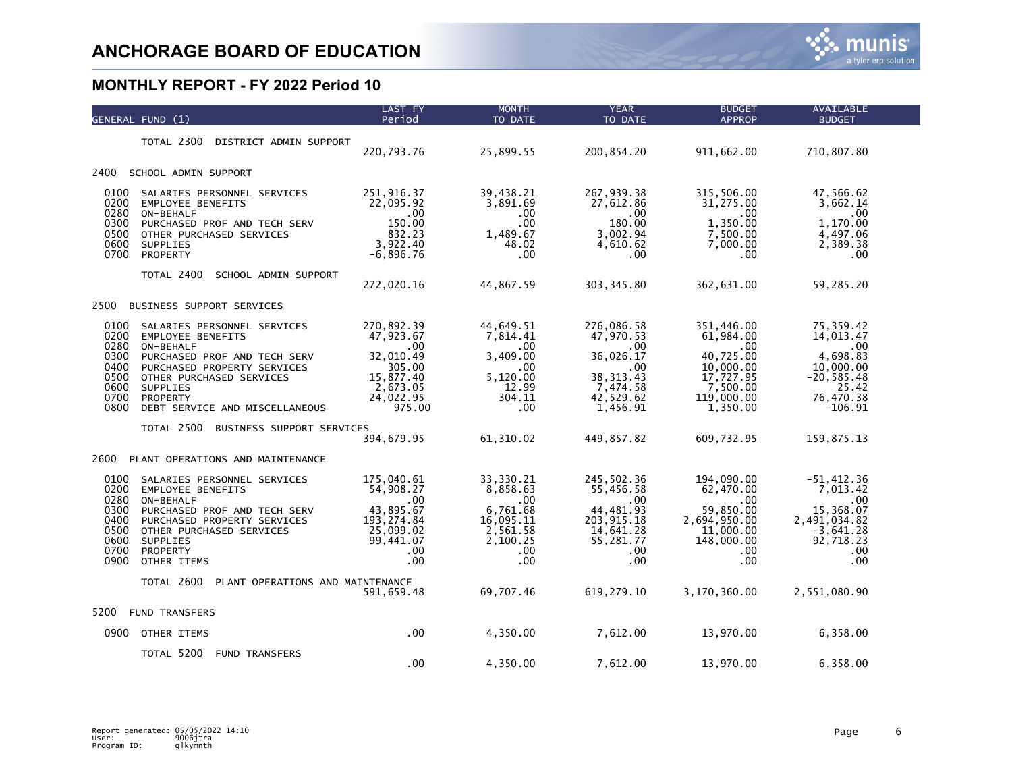|                                                                      | GENERAL FUND (1)                                                                                                                                                                                                                 | <b>LAST FY</b><br>Period                                                                                   | <b>MONTH</b><br>TO DATE                                                                          | <b>YEAR</b><br>TO DATE                                                                                     | <b>BUDGET</b><br><b>APPROP</b>                                                                                   | <b>AVAILABLE</b><br><b>BUDGET</b>                                                                                |  |
|----------------------------------------------------------------------|----------------------------------------------------------------------------------------------------------------------------------------------------------------------------------------------------------------------------------|------------------------------------------------------------------------------------------------------------|--------------------------------------------------------------------------------------------------|------------------------------------------------------------------------------------------------------------|------------------------------------------------------------------------------------------------------------------|------------------------------------------------------------------------------------------------------------------|--|
|                                                                      | TOTAL 2300<br>DISTRICT ADMIN SUPPORT                                                                                                                                                                                             | 220,793.76                                                                                                 | 25,899.55                                                                                        | 200,854.20                                                                                                 | 911,662.00                                                                                                       | 710,807.80                                                                                                       |  |
| 2400                                                                 | SCHOOL ADMIN SUPPORT                                                                                                                                                                                                             |                                                                                                            |                                                                                                  |                                                                                                            |                                                                                                                  |                                                                                                                  |  |
| 0100<br>0200<br>0280<br>0300<br>0500<br>0600<br>0700                 | SALARIES PERSONNEL SERVICES<br>EMPLOYEE BENEFITS<br>ON-BEHALF<br>PURCHASED PROF AND TECH SERV<br>OTHER PURCHASED SERVICES<br><b>SUPPLIES</b><br>PROPERTY                                                                         | 251,916.37<br>22,095.92<br>.00<br>150.00<br>832.23<br>3,922.40<br>$-6,896.76$                              | 39,438.21<br>3,891.69<br>.00<br>$.00 \,$<br>1,489.67<br>48.02<br>.00                             | 267,939.38<br>27,612.86<br>.00<br>180.00<br>3,002.94<br>4,610.62<br>.00                                    | 315,506.00<br>31,275.00<br>.00.<br>1,350.00<br>7,500.00<br>7,000.00<br>.00.                                      | 47,566.62<br>3,662.14<br>$.00 \times$<br>1,170.00<br>4,497.06<br>2,389.38<br>.00.                                |  |
|                                                                      | TOTAL 2400<br>SCHOOL ADMIN SUPPORT                                                                                                                                                                                               | 272,020.16                                                                                                 | 44,867.59                                                                                        | 303, 345.80                                                                                                | 362,631.00                                                                                                       | 59,285.20                                                                                                        |  |
| 2500                                                                 | BUSINESS SUPPORT SERVICES                                                                                                                                                                                                        |                                                                                                            |                                                                                                  |                                                                                                            |                                                                                                                  |                                                                                                                  |  |
| 0100<br>0200<br>0280<br>0300<br>0400<br>0500<br>0600<br>0700<br>0800 | SALARIES PERSONNEL SERVICES<br><b>EMPLOYEE BENEFITS</b><br>ON-BEHALF<br>PURCHASED PROF AND TECH SERV<br>PURCHASED PROPERTY SERVICES<br>OTHER PURCHASED SERVICES<br><b>SUPPLIES</b><br>PROPERTY<br>DEBT SERVICE AND MISCELLANEOUS | 270,892.39<br>47,923.67<br>$.00 \,$<br>32,010.49<br>305.00<br>15,877.40<br>2,673.05<br>24,022.95<br>975.00 | 44,649.51<br>7,814.41<br>$.00 \,$<br>3,409.00<br>.00<br>5,120.00<br>12.99<br>304.11<br>.00       | 276,086.58<br>47,970.53<br>$.00 \,$<br>36,026.17<br>.00<br>38, 313.43<br>7,474.58<br>42,529.62<br>1,456.91 | 351,446.00<br>61,984.00<br>$.00 \,$<br>40,725.00<br>10,000.00<br>17,727.95<br>7,500.00<br>119,000.00<br>1,350.00 | 75,359.42<br>14,013.47<br>.00<br>4,698.83<br>10,000.00<br>$-20, 585.48$<br>25.42<br>76,470.38<br>$-106.91$       |  |
|                                                                      | TOTAL 2500<br>BUSINESS SUPPORT SERVICES                                                                                                                                                                                          | 394,679.95                                                                                                 | 61,310.02                                                                                        | 449,857.82                                                                                                 | 609,732.95                                                                                                       | 159,875.13                                                                                                       |  |
| 2600                                                                 | PLANT OPERATIONS AND MAINTENANCE                                                                                                                                                                                                 |                                                                                                            |                                                                                                  |                                                                                                            |                                                                                                                  |                                                                                                                  |  |
| 0100<br>0200<br>0280<br>0300<br>0400<br>0500<br>0600<br>0700<br>0900 | SALARIES PERSONNEL SERVICES<br><b>EMPLOYEE BENEFITS</b><br>ON-BEHALF<br>PURCHASED PROF AND TECH SERV<br>PURCHASED PROPERTY SERVICES<br>OTHER PURCHASED SERVICES<br>SUPPLIES<br>PROPERTY<br>OTHER ITEMS                           | 175,040.61<br>54,908.27<br>.00<br>43,895.67<br>193, 274.84<br>25,099.02<br>99,441.07<br>.00<br>.00         | 33,330.21<br>8,858.63<br>$.00 \,$<br>6,761.68<br>16,095.11<br>2,561.58<br>2,100.25<br>.00<br>.00 | 245,502.36<br>55,456.58<br>.00<br>44,481.93<br>203,915.18<br>14,641.28<br>55,281.77<br>.00<br>.00          | 194,090.00<br>62,470.00<br>.00<br>59,850.00<br>2,694,950.00<br>11,000.00<br>148,000.00<br>.00.<br>.00            | $-51,412.36$<br>7,013.42<br>$.00 \times$<br>15,368.07<br>2,491,034.82<br>$-3,641.28$<br>92,718.23<br>.00.<br>.00 |  |
|                                                                      | TOTAL 2600<br>PLANT OPERATIONS AND MAINTENANCE                                                                                                                                                                                   | 591,659.48                                                                                                 | 69,707.46                                                                                        | 619, 279.10                                                                                                | 3,170,360.00                                                                                                     | 2,551,080.90                                                                                                     |  |
| 5200                                                                 | <b>FUND TRANSFERS</b>                                                                                                                                                                                                            |                                                                                                            |                                                                                                  |                                                                                                            |                                                                                                                  |                                                                                                                  |  |
| 0900                                                                 | OTHER ITEMS                                                                                                                                                                                                                      | $.00 \,$                                                                                                   | 4,350.00                                                                                         | 7,612.00                                                                                                   | 13,970.00                                                                                                        | 6,358.00                                                                                                         |  |
|                                                                      | TOTAL 5200<br><b>FUND TRANSFERS</b>                                                                                                                                                                                              | .00                                                                                                        | 4,350.00                                                                                         | 7,612.00                                                                                                   | 13,970.00                                                                                                        | 6,358.00                                                                                                         |  |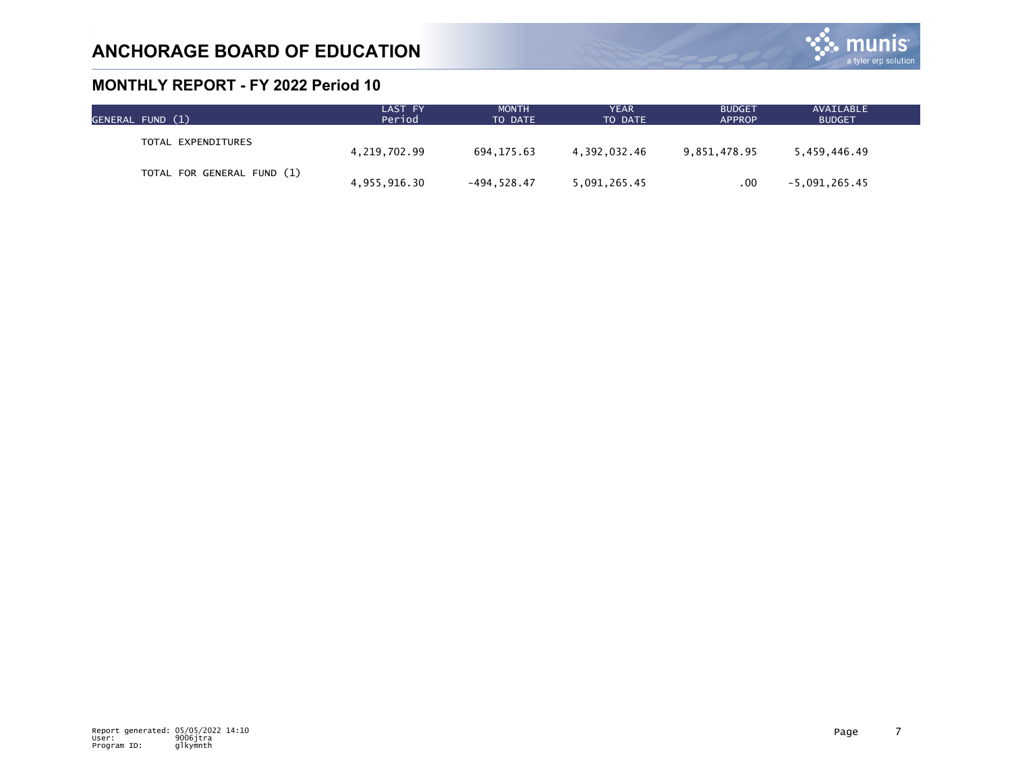

| GENERAL FUND (1)           | LAST FY<br>Period | <b>MONTH</b><br>TO DATE | YEAR<br>TO DATE | <b>BUDGET</b><br><b>APPROP</b> | AVAILABLE<br><b>BUDGET</b> |  |
|----------------------------|-------------------|-------------------------|-----------------|--------------------------------|----------------------------|--|
| TOTAL EXPENDITURES         | 4,219,702.99      | 694.175.63              | 4.392.032.46    | 9,851,478.95                   | 5.459.446.49               |  |
| TOTAL FOR GENERAL FUND (1) |                   |                         |                 |                                |                            |  |
|                            | 4,955,916.30      | $-494.528.47$           | 5,091,265.45    | .00                            | $-5,091,265.45$            |  |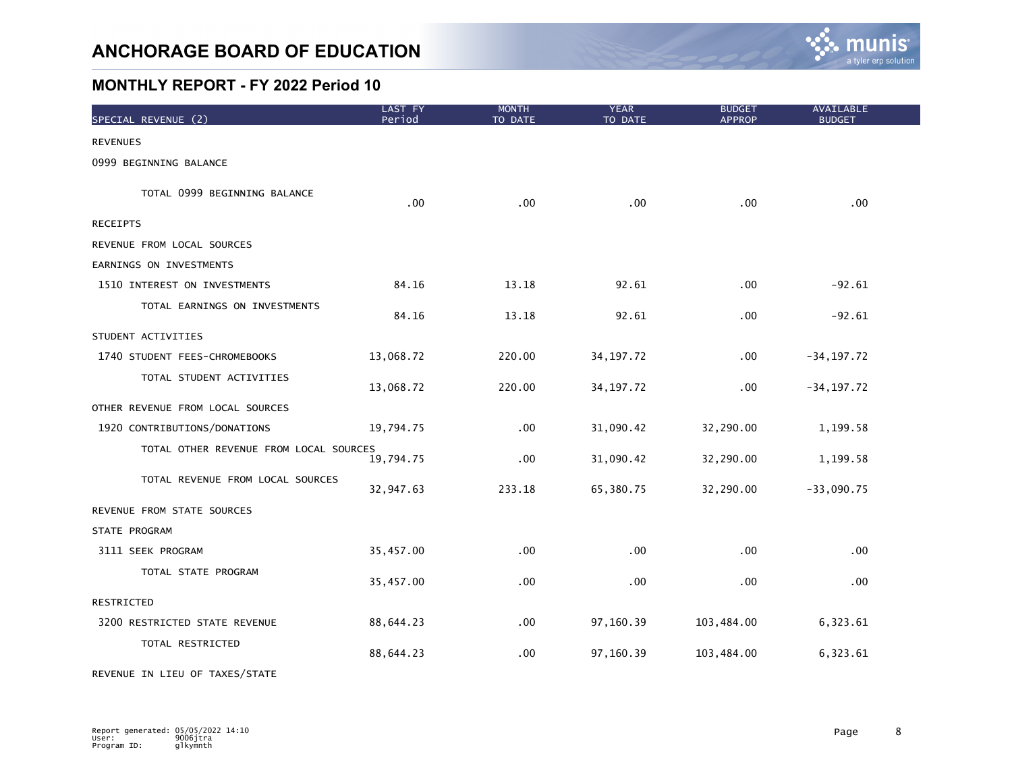

| SPECIAL REVENUE (2)                    | LAST FY<br>Period | <b>MONTH</b><br>TO DATE | <b>YEAR</b><br>TO DATE | <b>BUDGET</b><br><b>APPROP</b> | AVAILABLE<br><b>BUDGET</b> |
|----------------------------------------|-------------------|-------------------------|------------------------|--------------------------------|----------------------------|
| <b>REVENUES</b>                        |                   |                         |                        |                                |                            |
| 0999 BEGINNING BALANCE                 |                   |                         |                        |                                |                            |
| TOTAL 0999 BEGINNING BALANCE           | .00               | .00                     | .00                    | .00                            | .00                        |
| <b>RECEIPTS</b>                        |                   |                         |                        |                                |                            |
| REVENUE FROM LOCAL SOURCES             |                   |                         |                        |                                |                            |
| EARNINGS ON INVESTMENTS                |                   |                         |                        |                                |                            |
| 1510 INTEREST ON INVESTMENTS           | 84.16             | 13.18                   | 92.61                  | .00                            | $-92.61$                   |
| TOTAL EARNINGS ON INVESTMENTS          | 84.16             | 13.18                   | 92.61                  | .00                            | $-92.61$                   |
| STUDENT ACTIVITIES                     |                   |                         |                        |                                |                            |
| 1740 STUDENT FEES-CHROMEBOOKS          | 13,068.72         | 220.00                  | 34, 197. 72            | .00                            | $-34, 197.72$              |
| TOTAL STUDENT ACTIVITIES               | 13,068.72         | 220.00                  | 34, 197. 72            | .00                            | $-34, 197.72$              |
| OTHER REVENUE FROM LOCAL SOURCES       |                   |                         |                        |                                |                            |
| 1920 CONTRIBUTIONS/DONATIONS           | 19,794.75         | .00                     | 31,090.42              | 32,290.00                      | 1,199.58                   |
| TOTAL OTHER REVENUE FROM LOCAL SOURCES | 19,794.75         | .00                     | 31,090.42              | 32,290.00                      | 1,199.58                   |
| TOTAL REVENUE FROM LOCAL SOURCES       | 32,947.63         | 233.18                  | 65,380.75              | 32,290.00                      | $-33,090.75$               |
| REVENUE FROM STATE SOURCES             |                   |                         |                        |                                |                            |
| STATE PROGRAM                          |                   |                         |                        |                                |                            |
| 3111 SEEK PROGRAM                      | 35,457.00         | .00                     | .00                    | .00                            | .00                        |
| TOTAL STATE PROGRAM                    | 35,457.00         | .00                     | .00                    | .00                            | .00                        |
| RESTRICTED                             |                   |                         |                        |                                |                            |
| 3200 RESTRICTED STATE REVENUE          | 88,644.23         | .00                     | 97,160.39              | 103,484.00                     | 6,323.61                   |
| TOTAL RESTRICTED                       | 88,644.23         | .00                     | 97,160.39              | 103,484.00                     | 6,323.61                   |

REVENUE IN LIEU OF TAXES/STATE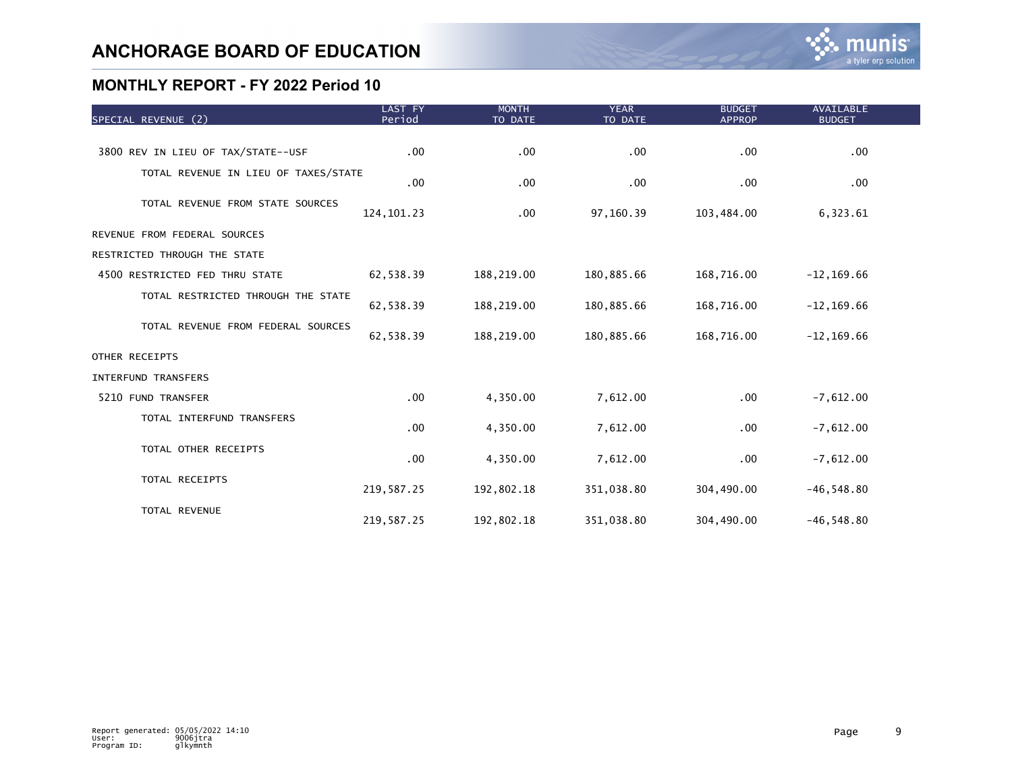| SPECIAL REVENUE (2)                  | LAST FY<br>Period | <b>MONTH</b><br>TO DATE | <b>YEAR</b><br>TO DATE | <b>BUDGET</b><br><b>APPROP</b> | <b>AVAILABLE</b><br><b>BUDGET</b> |  |
|--------------------------------------|-------------------|-------------------------|------------------------|--------------------------------|-----------------------------------|--|
|                                      |                   |                         |                        |                                |                                   |  |
| 3800 REV IN LIEU OF TAX/STATE--USF   | .00               | .00                     | .00                    | .00                            | .00                               |  |
| TOTAL REVENUE IN LIEU OF TAXES/STATE | .00               | .00                     | .00                    | .00.                           | .00 <sub>1</sub>                  |  |
| TOTAL REVENUE FROM STATE SOURCES     | 124, 101.23       | .00                     | 97,160.39              | 103,484.00                     | 6,323.61                          |  |
| REVENUE FROM FEDERAL SOURCES         |                   |                         |                        |                                |                                   |  |
| RESTRICTED THROUGH THE STATE         |                   |                         |                        |                                |                                   |  |
| 4500 RESTRICTED FED THRU STATE       | 62,538.39         | 188,219.00              | 180,885.66             | 168,716.00                     | $-12, 169.66$                     |  |
| TOTAL RESTRICTED THROUGH THE STATE   | 62,538.39         | 188,219.00              | 180,885.66             | 168,716.00                     | $-12, 169.66$                     |  |
| TOTAL REVENUE FROM FEDERAL SOURCES   | 62,538.39         | 188,219.00              | 180,885.66             | 168,716.00                     | $-12, 169.66$                     |  |
| OTHER RECEIPTS                       |                   |                         |                        |                                |                                   |  |
| INTERFUND TRANSFERS                  |                   |                         |                        |                                |                                   |  |
| 5210 FUND TRANSFER                   | $.00 \,$          | 4,350.00                | 7,612.00               | .00                            | $-7,612.00$                       |  |
| TOTAL INTERFUND TRANSFERS            | .00               | 4,350.00                | 7,612.00               | .00                            | $-7,612.00$                       |  |
| TOTAL OTHER RECEIPTS                 | .00               | 4,350.00                | 7,612.00               | .00                            | $-7,612.00$                       |  |
| TOTAL RECEIPTS                       | 219,587.25        | 192,802.18              | 351,038.80             | 304,490.00                     | $-46, 548.80$                     |  |
| TOTAL REVENUE                        | 219,587.25        | 192,802.18              | 351,038.80             | 304,490.00                     | $-46, 548.80$                     |  |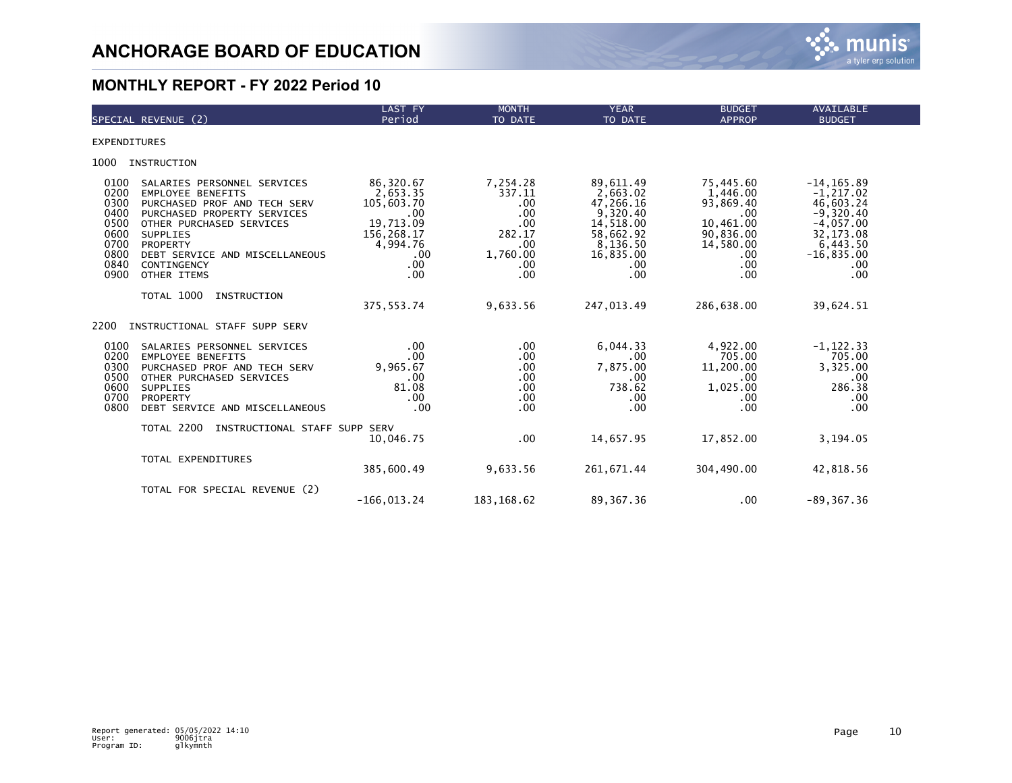

|                                                                              | SPECIAL REVENUE (2)                                                                                                                                                                                                                                      | LAST FY<br>Period                                                                                      | <b>MONTH</b><br>TO DATE                                                                 | <b>YEAR</b><br>TO DATE                                                                                               | <b>BUDGET</b><br><b>APPROP</b>                                                                                    | AVAILABLE<br><b>BUDGET</b>                                                                                                       |  |
|------------------------------------------------------------------------------|----------------------------------------------------------------------------------------------------------------------------------------------------------------------------------------------------------------------------------------------------------|--------------------------------------------------------------------------------------------------------|-----------------------------------------------------------------------------------------|----------------------------------------------------------------------------------------------------------------------|-------------------------------------------------------------------------------------------------------------------|----------------------------------------------------------------------------------------------------------------------------------|--|
| <b>EXPENDITURES</b>                                                          |                                                                                                                                                                                                                                                          |                                                                                                        |                                                                                         |                                                                                                                      |                                                                                                                   |                                                                                                                                  |  |
| 1000                                                                         | INSTRUCTION                                                                                                                                                                                                                                              |                                                                                                        |                                                                                         |                                                                                                                      |                                                                                                                   |                                                                                                                                  |  |
| 0100<br>0200<br>0300<br>0400<br>0500<br>0600<br>0700<br>0800<br>0840<br>0900 | SALARIES PERSONNEL SERVICES<br><b>EMPLOYEE BENEFITS</b><br>PURCHASED PROF AND TECH SERV<br>PURCHASED PROPERTY SERVICES<br>OTHER PURCHASED SERVICES<br><b>SUPPLIES</b><br><b>PROPERTY</b><br>DEBT SERVICE AND MISCELLANEOUS<br>CONTINGENCY<br>OTHER ITEMS | 86,320.67<br>2,653.35<br>105,603.70<br>.00<br>19,713.09<br>156,268.17<br>4,994.76<br>.00<br>.00<br>.00 | 7,254.28<br>337.11<br>$.00 \,$<br>.00<br>.00<br>282.17<br>.00<br>1,760.00<br>.00<br>.00 | 89,611.49<br>2,663.02<br>47,266.16<br>9,320.40<br>14,518.00<br>58,662.92<br>8,136.50<br>16,835.00<br>$.00 \,$<br>.00 | 75,445.60<br>1,446.00<br>93,869.40<br>$.00 \,$<br>10,461.00<br>90,836.00<br>14,580.00<br>$.00 \,$<br>.00.<br>.00. | $-14, 165.89$<br>$-1, 217.02$<br>46,603.24<br>$-9,320.40$<br>$-4,057.00$<br>32, 173.08<br>6,443.50<br>$-16,835.00$<br>.00<br>.00 |  |
|                                                                              | TOTAL 1000<br>INSTRUCTION                                                                                                                                                                                                                                | 375, 553.74                                                                                            | 9,633.56                                                                                | 247,013.49                                                                                                           | 286,638.00                                                                                                        | 39,624.51                                                                                                                        |  |
| 2200                                                                         | INSTRUCTIONAL STAFF SUPP SERV                                                                                                                                                                                                                            |                                                                                                        |                                                                                         |                                                                                                                      |                                                                                                                   |                                                                                                                                  |  |
| 0100<br>0200<br>0300<br>0500<br>0600<br>0700<br>0800                         | SALARIES PERSONNEL SERVICES<br><b>EMPLOYEE BENEFITS</b><br>PURCHASED PROF AND TECH SERV<br>OTHER PURCHASED SERVICES<br><b>SUPPLIES</b><br>PROPERTY<br>DEBT SERVICE AND MISCELLANEOUS                                                                     | .00<br>.00<br>9.965.67<br>.00<br>81.08<br>.00<br>.00                                                   | $.00 \,$<br>$.00 \,$<br>$.00 \,$<br>$.00 \,$<br>.00<br>$.00 \,$<br>$.00 \,$             | 6,044.33<br>$.00 \,$<br>7.875.00<br>$.00 \,$<br>738.62<br>.00<br>.00                                                 | 4,922.00<br>705.00<br>11,200.00<br>.00.<br>1,025.00<br>.00.<br>.00                                                | $-1, 122.33$<br>705.00<br>3,325.00<br>.00<br>286.38<br>.00<br>.00                                                                |  |
|                                                                              | TOTAL 2200<br>INSTRUCTIONAL STAFF SUPP SERV                                                                                                                                                                                                              | 10,046.75                                                                                              | .00                                                                                     | 14,657.95                                                                                                            | 17,852.00                                                                                                         | 3,194.05                                                                                                                         |  |
|                                                                              | TOTAL EXPENDITURES                                                                                                                                                                                                                                       | 385,600.49                                                                                             | 9,633.56                                                                                | 261,671.44                                                                                                           | 304,490.00                                                                                                        | 42,818.56                                                                                                                        |  |
|                                                                              | TOTAL FOR SPECIAL REVENUE (2)                                                                                                                                                                                                                            | $-166.013.24$                                                                                          | 183, 168.62                                                                             | 89, 367. 36                                                                                                          | $.00 \,$                                                                                                          | $-89, 367.36$                                                                                                                    |  |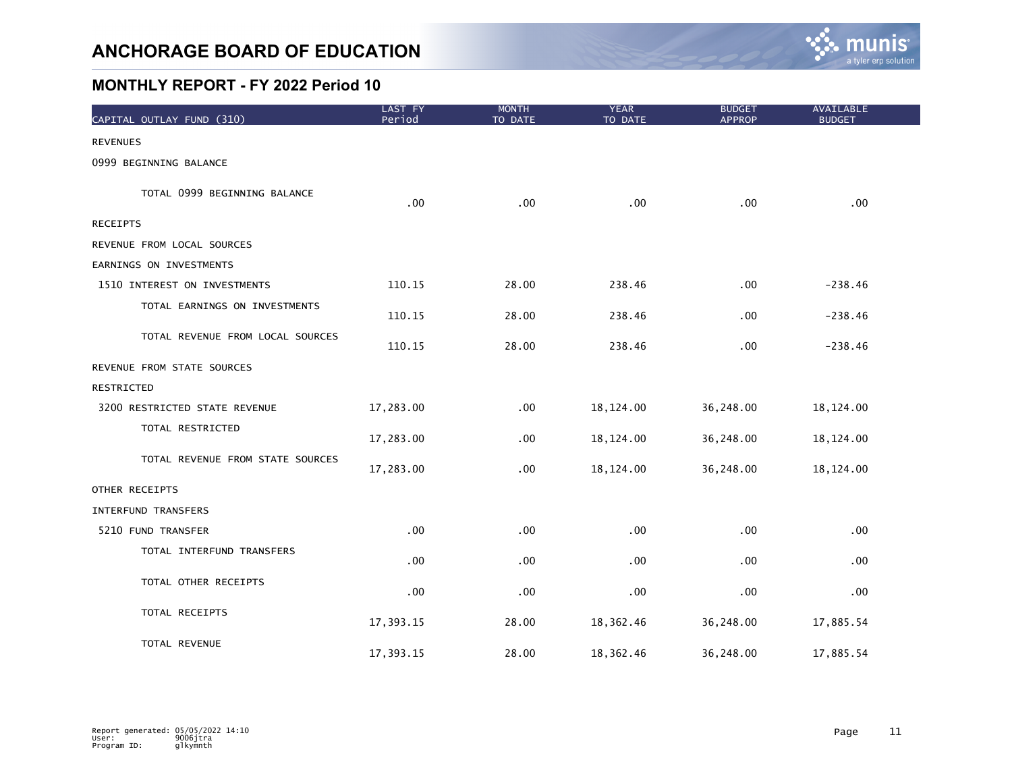

| CAPITAL OUTLAY FUND (310)        | LAST FY<br>Period | <b>MONTH</b><br>TO DATE | <b>YEAR</b><br>TO DATE | <b>BUDGET</b><br><b>APPROP</b> | <b>AVAILABLE</b><br><b>BUDGET</b> |
|----------------------------------|-------------------|-------------------------|------------------------|--------------------------------|-----------------------------------|
| <b>REVENUES</b>                  |                   |                         |                        |                                |                                   |
| 0999 BEGINNING BALANCE           |                   |                         |                        |                                |                                   |
| TOTAL 0999 BEGINNING BALANCE     | .00               | .00                     | .00                    | .00                            | .00                               |
| <b>RECEIPTS</b>                  |                   |                         |                        |                                |                                   |
| REVENUE FROM LOCAL SOURCES       |                   |                         |                        |                                |                                   |
| EARNINGS ON INVESTMENTS          |                   |                         |                        |                                |                                   |
| 1510 INTEREST ON INVESTMENTS     | 110.15            | 28.00                   | 238.46                 | .00                            | $-238.46$                         |
| TOTAL EARNINGS ON INVESTMENTS    | 110.15            | 28.00                   | 238.46                 | .00                            | $-238.46$                         |
| TOTAL REVENUE FROM LOCAL SOURCES | 110.15            | 28.00                   | 238.46                 | .00                            | $-238.46$                         |
| REVENUE FROM STATE SOURCES       |                   |                         |                        |                                |                                   |
| RESTRICTED                       |                   |                         |                        |                                |                                   |
| 3200 RESTRICTED STATE REVENUE    | 17,283.00         | .00                     | 18,124.00              | 36,248.00                      | 18, 124.00                        |
| TOTAL RESTRICTED                 | 17,283.00         | .00                     | 18,124.00              | 36,248.00                      | 18,124.00                         |
| TOTAL REVENUE FROM STATE SOURCES | 17,283.00         | .00                     | 18,124.00              | 36,248.00                      | 18, 124.00                        |
| OTHER RECEIPTS                   |                   |                         |                        |                                |                                   |
| <b>INTERFUND TRANSFERS</b>       |                   |                         |                        |                                |                                   |
| 5210 FUND TRANSFER               | .00               | .00                     | .00                    | .00                            | .00                               |
| TOTAL INTERFUND TRANSFERS        | .00               | .00                     | .00                    | .00                            | .00                               |
| TOTAL OTHER RECEIPTS             | .00               | .00                     | .00                    | .00                            | .00                               |
| TOTAL RECEIPTS                   | 17,393.15         | 28.00                   | 18,362.46              | 36,248.00                      | 17,885.54                         |
| TOTAL REVENUE                    | 17,393.15         | 28.00                   | 18,362.46              | 36,248.00                      | 17,885.54                         |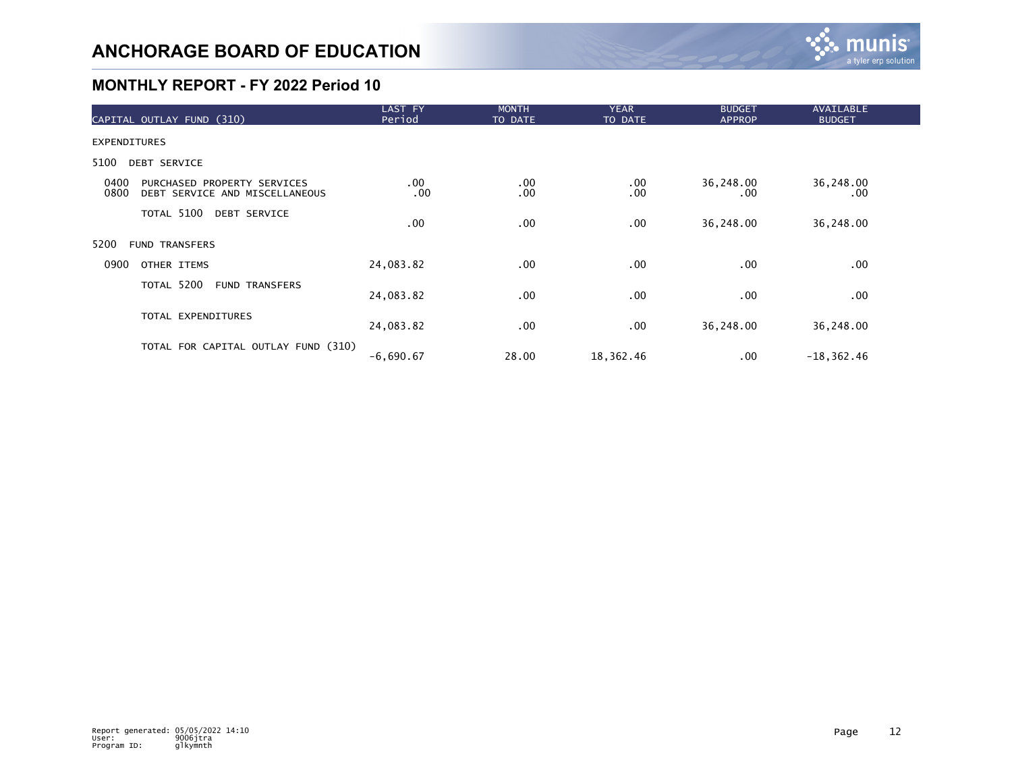

| CAPITAL OUTLAY FUND (310)                                                     | LAST FY<br>Period | <b>MONTH</b><br>TO DATE | <b>YEAR</b><br>TO DATE | <b>BUDGET</b><br><b>APPROP</b> | <b>AVAILABLE</b><br><b>BUDGET</b> |  |
|-------------------------------------------------------------------------------|-------------------|-------------------------|------------------------|--------------------------------|-----------------------------------|--|
| <b>EXPENDITURES</b>                                                           |                   |                         |                        |                                |                                   |  |
| 5100<br>DEBT SERVICE                                                          |                   |                         |                        |                                |                                   |  |
| 0400<br>PURCHASED PROPERTY SERVICES<br>0800<br>DEBT SERVICE AND MISCELLANEOUS | $.00 \,$<br>.00   | .00<br>.00              | $.00 \,$<br>.00        | 36,248.00<br>.00               | 36,248.00<br>$.00 \,$             |  |
| TOTAL 5100 DEBT SERVICE                                                       | $.00 \,$          | .00                     | .00                    | 36,248.00                      | 36,248.00                         |  |
| 5200<br><b>FUND TRANSFERS</b>                                                 |                   |                         |                        |                                |                                   |  |
| 0900<br>OTHER ITEMS                                                           | 24,083.82         | .00                     | $.00 \,$               | .00.                           | $.00 \,$                          |  |
| TOTAL 5200<br><b>FUND TRANSFERS</b>                                           | 24,083.82         | .00                     | $.00 \,$               | .00.                           | .00                               |  |
| TOTAL EXPENDITURES                                                            | 24,083.82         | $.00 \,$                | $.00 \,$               | 36,248.00                      | 36,248.00                         |  |
| TOTAL FOR CAPITAL OUTLAY FUND (310)                                           | $-6,690.67$       | 28.00                   | 18,362.46              | .00                            | $-18, 362.46$                     |  |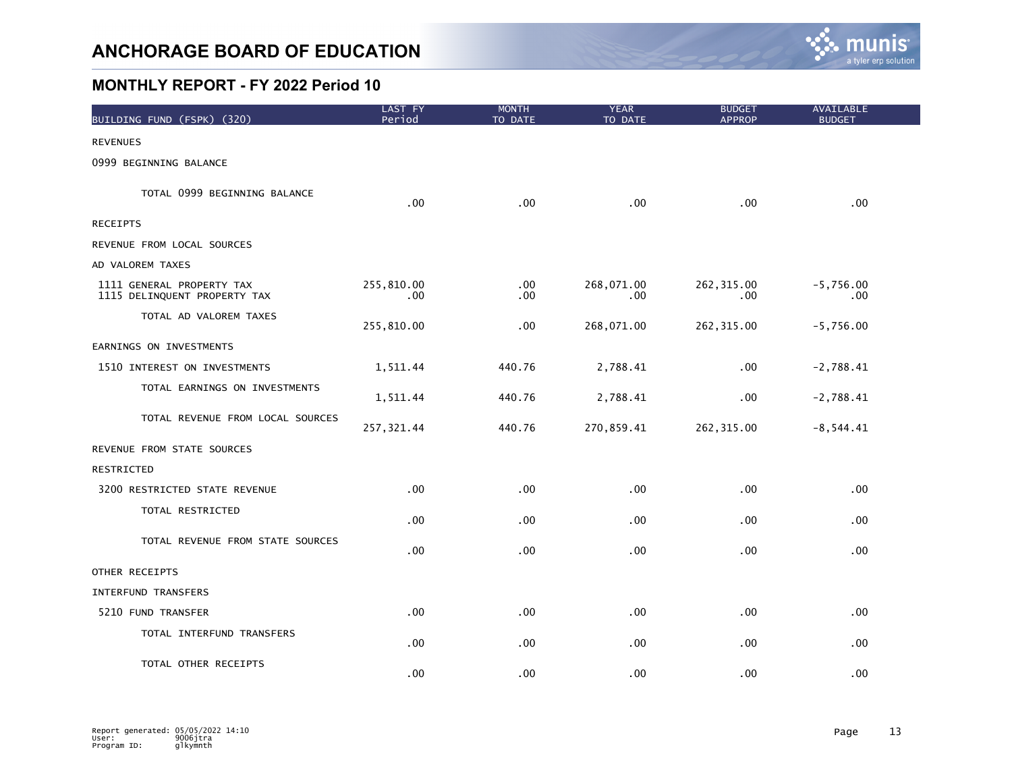

| BUILDING FUND (FSPK) (320)                                | LAST FY<br>Period | <b>MONTH</b><br>TO DATE | <b>YEAR</b><br>TO DATE | <b>BUDGET</b><br><b>APPROP</b> | AVAILABLE<br><b>BUDGET</b> |
|-----------------------------------------------------------|-------------------|-------------------------|------------------------|--------------------------------|----------------------------|
| <b>REVENUES</b>                                           |                   |                         |                        |                                |                            |
| 0999 BEGINNING BALANCE                                    |                   |                         |                        |                                |                            |
| TOTAL 0999 BEGINNING BALANCE                              | .00 <sub>1</sub>  | .00                     | .00                    | .00                            | .00                        |
| <b>RECEIPTS</b>                                           |                   |                         |                        |                                |                            |
| REVENUE FROM LOCAL SOURCES                                |                   |                         |                        |                                |                            |
| AD VALOREM TAXES                                          |                   |                         |                        |                                |                            |
| 1111 GENERAL PROPERTY TAX<br>1115 DELINQUENT PROPERTY TAX | 255,810.00<br>.00 | .00<br>.00              | 268,071.00<br>.00      | 262, 315.00<br>.00             | $-5,756.00$<br>.00         |
| TOTAL AD VALOREM TAXES                                    | 255,810.00        | .00                     | 268,071.00             | 262, 315.00                    | $-5,756.00$                |
| EARNINGS ON INVESTMENTS                                   |                   |                         |                        |                                |                            |
| 1510 INTEREST ON INVESTMENTS                              | 1,511.44          | 440.76                  | 2,788.41               | .00                            | $-2,788.41$                |
| TOTAL EARNINGS ON INVESTMENTS                             | 1,511.44          | 440.76                  | 2,788.41               | .00                            | $-2,788.41$                |
| TOTAL REVENUE FROM LOCAL SOURCES                          | 257, 321.44       | 440.76                  | 270,859.41             | 262, 315.00                    | $-8, 544.41$               |
| REVENUE FROM STATE SOURCES                                |                   |                         |                        |                                |                            |
| RESTRICTED                                                |                   |                         |                        |                                |                            |
| 3200 RESTRICTED STATE REVENUE                             | .00               | .00                     | .00                    | .00                            | .00                        |
| TOTAL RESTRICTED                                          | .00 <sub>1</sub>  | .00                     | .00                    | .00                            | .00                        |
| TOTAL REVENUE FROM STATE SOURCES                          | .00 <sub>1</sub>  | .00                     | .00                    | .00                            | .00 <sub>1</sub>           |
| OTHER RECEIPTS                                            |                   |                         |                        |                                |                            |
| INTERFUND TRANSFERS                                       |                   |                         |                        |                                |                            |
| 5210 FUND TRANSFER                                        | $.00 \,$          | .00                     | $.00 \,$               | .00                            | .00                        |
| TOTAL INTERFUND TRANSFERS                                 | .00 <sub>1</sub>  | .00                     | $.00 \,$               | .00                            | .00                        |
| TOTAL OTHER RECEIPTS                                      | .00 <sub>1</sub>  | .00                     | .00 <sub>1</sub>       | .00                            | .00                        |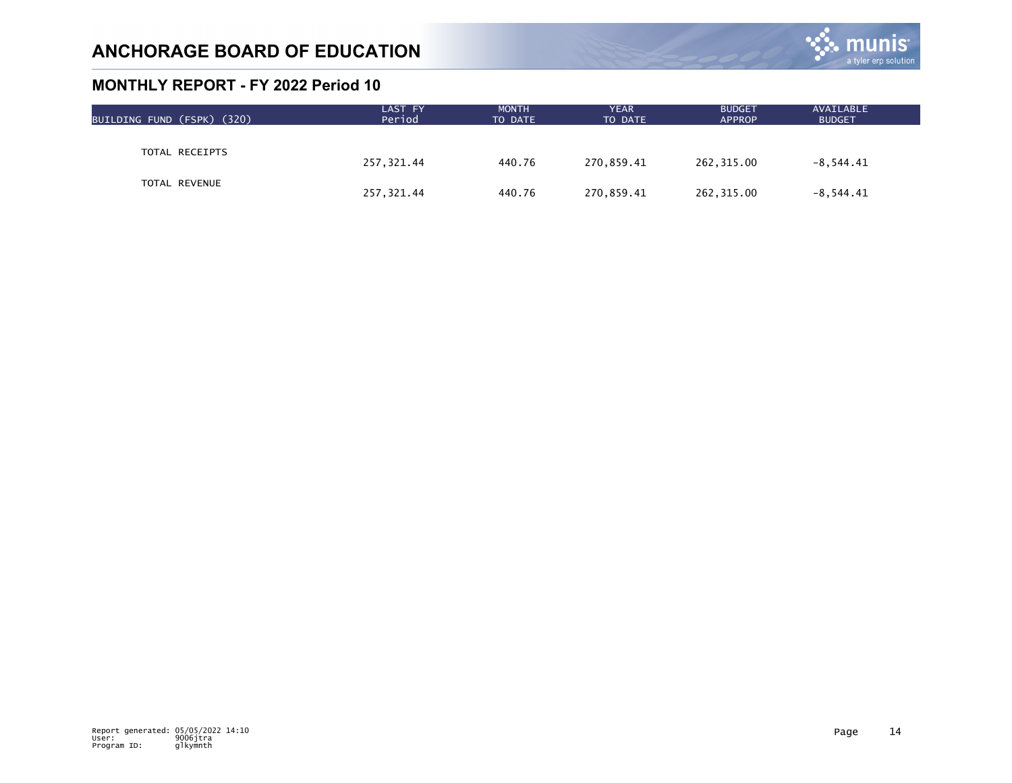

| BUILDING FUND (FSPK) (320) | LAST FY<br>Period | <b>MONTH</b><br>TO DATE | <b>YEAR</b><br>TO DATE | <b>BUDGET</b><br><b>APPROP</b> | AVAILABLE<br><b>BUDGET</b> |  |
|----------------------------|-------------------|-------------------------|------------------------|--------------------------------|----------------------------|--|
|                            |                   |                         |                        |                                |                            |  |
| TOTAL RECEIPTS             | 257,321.44        | 440.76                  | 270,859.41             | 262,315.00                     | $-8,544.41$                |  |
| TOTAL REVENUE              | 257,321.44        | 440.76                  | 270,859.41             | 262,315.00                     | $-8,544.41$                |  |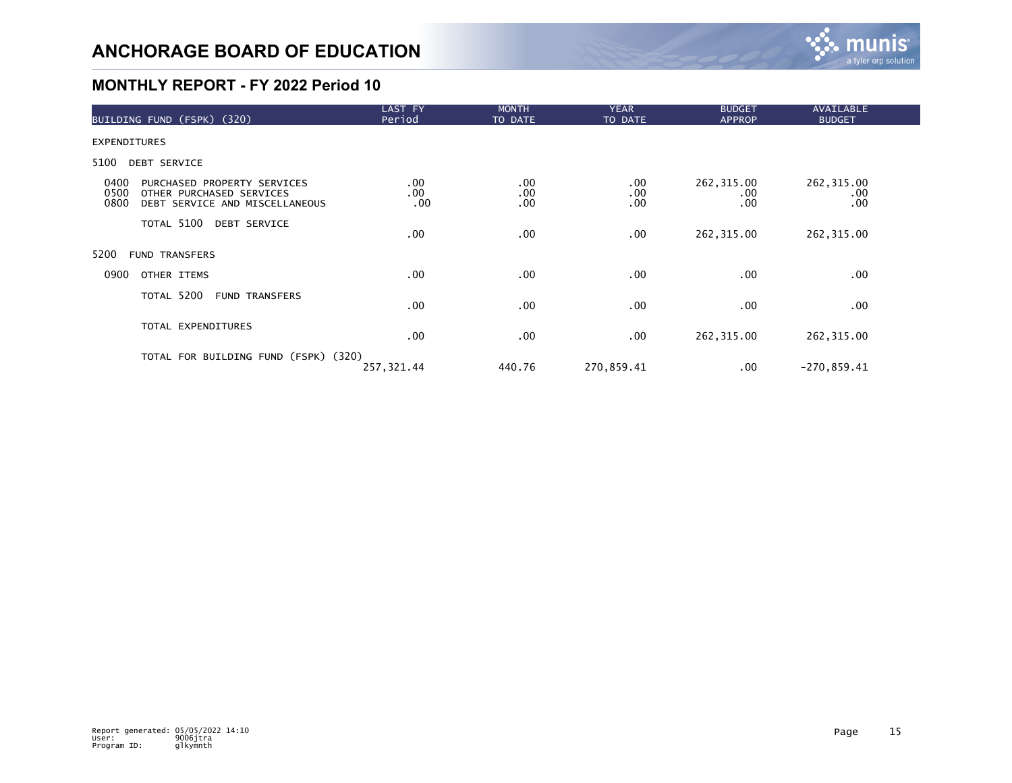

| BUILDING FUND (FSPK) (320)                                                                                        | LAST FY<br>Period | <b>MONTH</b><br>TO DATE | <b>YEAR</b><br>TO DATE | <b>BUDGET</b><br><b>APPROP</b> | <b>AVAILABLE</b><br><b>BUDGET</b> |  |
|-------------------------------------------------------------------------------------------------------------------|-------------------|-------------------------|------------------------|--------------------------------|-----------------------------------|--|
| <b>EXPENDITURES</b>                                                                                               |                   |                         |                        |                                |                                   |  |
| 5100<br><b>DEBT SERVICE</b>                                                                                       |                   |                         |                        |                                |                                   |  |
| 0400<br>PURCHASED PROPERTY SERVICES<br>0500<br>OTHER PURCHASED SERVICES<br>0800<br>DEBT SERVICE AND MISCELLANEOUS | .00<br>.00<br>.00 | .00<br>.00<br>.00       | $.00 \,$<br>.00<br>.00 | 262, 315.00<br>.00.<br>.00     | 262,315.00<br>.00<br>.00          |  |
| TOTAL 5100 DEBT SERVICE                                                                                           | .00               | .00                     | $.00 \,$               | 262,315.00                     | 262,315.00                        |  |
| 5200<br><b>FUND TRANSFERS</b>                                                                                     |                   |                         |                        |                                |                                   |  |
| 0900<br>OTHER ITEMS                                                                                               | .00               | .00                     | .00                    | $.00 \,$                       | .00                               |  |
| TOTAL 5200<br><b>FUND TRANSFERS</b>                                                                               | .00               | .00                     | .00                    | .00                            | .00                               |  |
| TOTAL EXPENDITURES                                                                                                | .00               | .00                     | .00                    | 262, 315.00                    | 262, 315.00                       |  |
| TOTAL FOR BUILDING FUND (FSPK) (320)                                                                              | 257, 321.44       | 440.76                  | 270,859.41             | .00                            | $-270, 859.41$                    |  |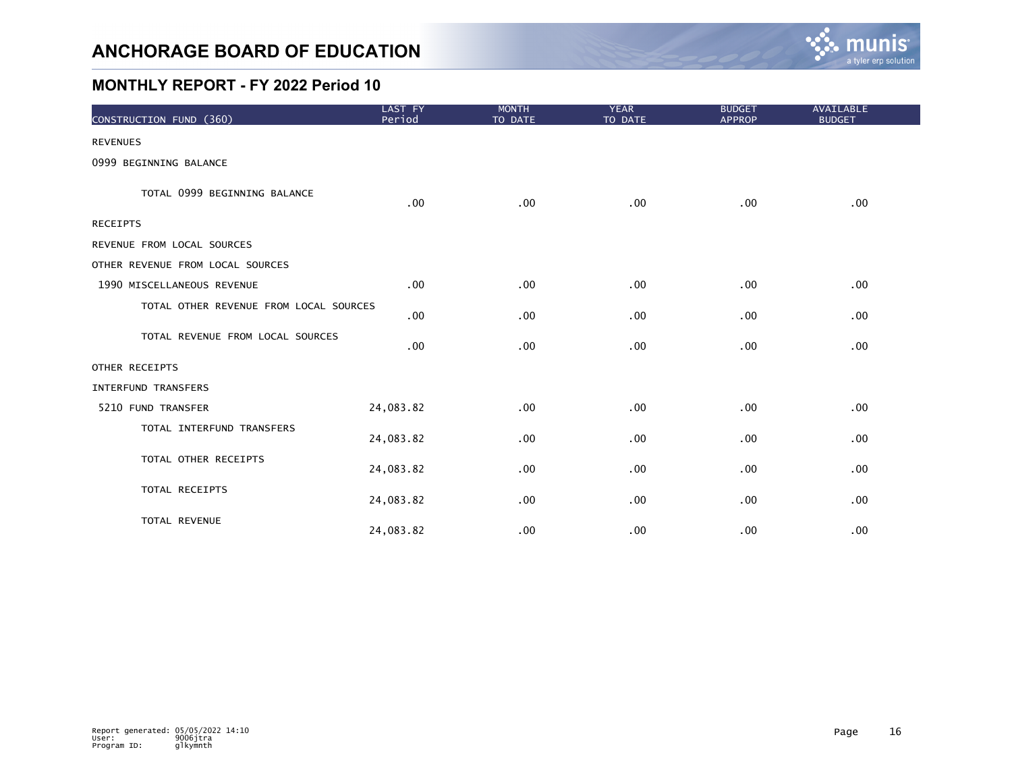

| CONSTRUCTION FUND (360)                | LAST FY<br>Period | <b>MONTH</b><br>TO DATE | <b>YEAR</b><br>TO DATE | <b>BUDGET</b><br><b>APPROP</b> | AVAILABLE<br><b>BUDGET</b> |
|----------------------------------------|-------------------|-------------------------|------------------------|--------------------------------|----------------------------|
| <b>REVENUES</b>                        |                   |                         |                        |                                |                            |
| 0999 BEGINNING BALANCE                 |                   |                         |                        |                                |                            |
| TOTAL 0999 BEGINNING BALANCE           | $.00 \,$          | .00                     | .00                    | .00                            | .00                        |
| <b>RECEIPTS</b>                        |                   |                         |                        |                                |                            |
| REVENUE FROM LOCAL SOURCES             |                   |                         |                        |                                |                            |
| OTHER REVENUE FROM LOCAL SOURCES       |                   |                         |                        |                                |                            |
| 1990 MISCELLANEOUS REVENUE             | .00               | .00                     | .00                    | .00                            | .00                        |
| TOTAL OTHER REVENUE FROM LOCAL SOURCES | $.00 \,$          | .00                     | .00                    | .00                            | $.00 \,$                   |
| TOTAL REVENUE FROM LOCAL SOURCES       | .00               | .00                     | .00                    | .00                            | .00                        |
| OTHER RECEIPTS                         |                   |                         |                        |                                |                            |
| <b>INTERFUND TRANSFERS</b>             |                   |                         |                        |                                |                            |
| 5210 FUND TRANSFER                     | 24,083.82         | .00                     | .00                    | .00                            | .00                        |
| TOTAL INTERFUND TRANSFERS              | 24,083.82         | .00                     | .00                    | .00                            | .00                        |
| TOTAL OTHER RECEIPTS                   | 24,083.82         | .00                     | .00                    | .00                            | .00                        |
| TOTAL RECEIPTS                         | 24,083.82         | .00                     | .00                    | .00                            | $.00 \,$                   |
| TOTAL REVENUE                          | 24,083.82         | .00                     | .00                    | .00                            | .00                        |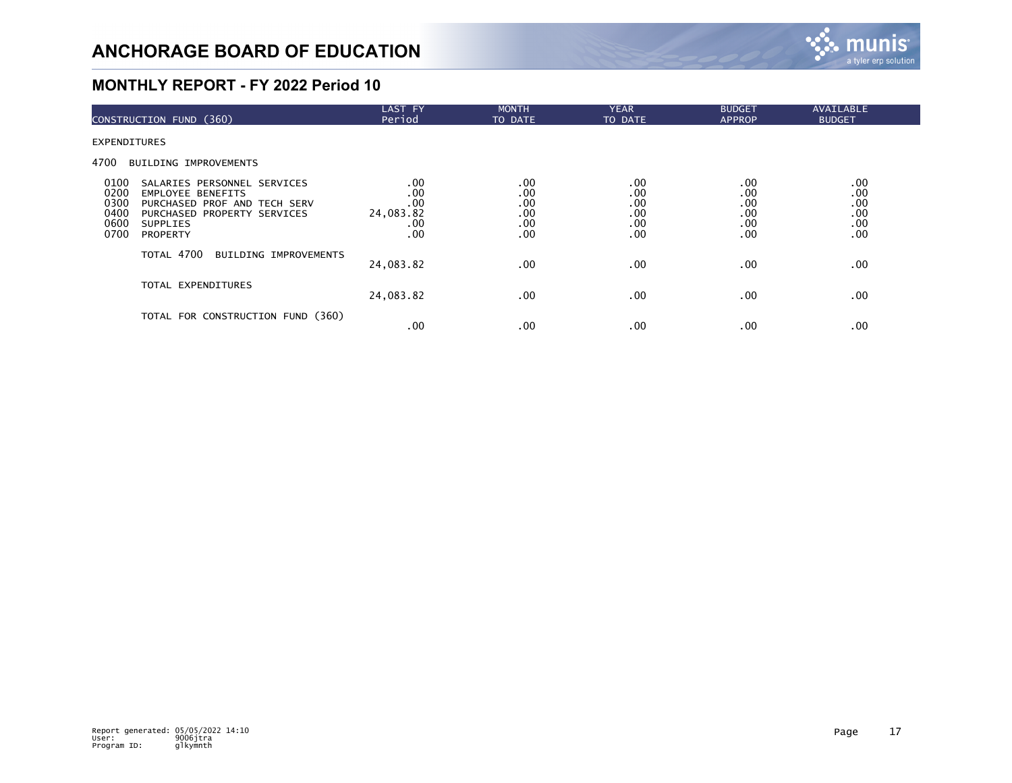

| CONSTRUCTION FUND (360)                                                                                                                                                                                      | <b>LAST FY</b><br>Period                     | <b>MONTH</b><br>TO DATE                | <b>YEAR</b><br>TO DATE                 | <b>BUDGET</b><br><b>APPROP</b>         | AVAILABLE<br><b>BUDGET</b>             |  |
|--------------------------------------------------------------------------------------------------------------------------------------------------------------------------------------------------------------|----------------------------------------------|----------------------------------------|----------------------------------------|----------------------------------------|----------------------------------------|--|
| <b>EXPENDITURES</b>                                                                                                                                                                                          |                                              |                                        |                                        |                                        |                                        |  |
| 4700<br><b>BUILDING IMPROVEMENTS</b>                                                                                                                                                                         |                                              |                                        |                                        |                                        |                                        |  |
| 0100<br>SALARIES PERSONNEL SERVICES<br>0200<br><b>EMPLOYEE BENEFITS</b><br>0300<br>PURCHASED PROF AND TECH SERV<br>0400<br>PURCHASED PROPERTY SERVICES<br>0600<br><b>SUPPLIES</b><br>0700<br><b>PROPERTY</b> | .00<br>.00<br>.00<br>24,083.82<br>.00<br>.00 | .00<br>.00<br>.00<br>.00<br>.00<br>.00 | .00<br>.00<br>.00<br>.00<br>.00<br>.00 | .00<br>.00<br>.00<br>.00<br>.00<br>.00 | .00<br>.00<br>.00<br>.00<br>.00<br>.00 |  |
| TOTAL 4700<br><b>BUILDING IMPROVEMENTS</b>                                                                                                                                                                   | 24,083.82                                    | .00                                    | $.00 \,$                               | .00                                    | .00                                    |  |
| TOTAL EXPENDITURES                                                                                                                                                                                           | 24,083.82                                    | .00                                    | $.00 \,$                               | .00                                    | .00                                    |  |
| TOTAL FOR CONSTRUCTION FUND (360)                                                                                                                                                                            | .00                                          | .00                                    | $.00 \,$                               | .00                                    | .00                                    |  |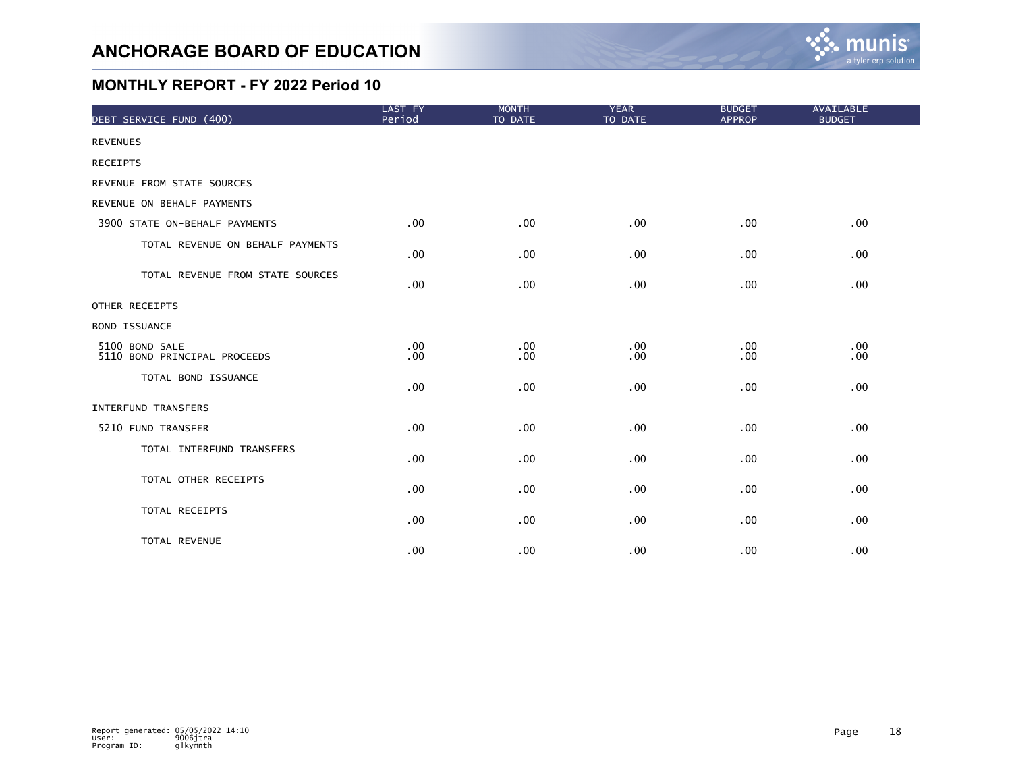

| DEBT SERVICE FUND (400)                        | LAST FY<br>Period                    | <b>MONTH</b><br>TO DATE | <b>YEAR</b><br>TO DATE | <b>BUDGET</b><br><b>APPROP</b> | <b>AVAILABLE</b><br><b>BUDGET</b> |
|------------------------------------------------|--------------------------------------|-------------------------|------------------------|--------------------------------|-----------------------------------|
| <b>REVENUES</b>                                |                                      |                         |                        |                                |                                   |
| <b>RECEIPTS</b>                                |                                      |                         |                        |                                |                                   |
| REVENUE FROM STATE SOURCES                     |                                      |                         |                        |                                |                                   |
| REVENUE ON BEHALF PAYMENTS                     |                                      |                         |                        |                                |                                   |
| 3900 STATE ON-BEHALF PAYMENTS                  | .00 <sub>1</sub>                     | .00                     | .00                    | $.00 \,$                       | .00                               |
| TOTAL REVENUE ON BEHALF PAYMENTS               | $.00 \,$                             | .00                     | .00                    | $.00 \,$                       | .00                               |
| TOTAL REVENUE FROM STATE SOURCES               | .00                                  | .00                     | .00                    | $.00 \,$                       | .00                               |
| OTHER RECEIPTS                                 |                                      |                         |                        |                                |                                   |
| <b>BOND ISSUANCE</b>                           |                                      |                         |                        |                                |                                   |
| 5100 BOND SALE<br>5110 BOND PRINCIPAL PROCEEDS | .00 <sub>1</sub><br>.00 <sub>1</sub> | .00<br>.00              | .00<br>.00             | $.00 \,$<br>.00                | .00<br>.00                        |
| TOTAL BOND ISSUANCE                            | .00                                  | .00                     | .00                    | $.00 \,$                       | .00                               |
| <b>INTERFUND TRANSFERS</b>                     |                                      |                         |                        |                                |                                   |
| 5210 FUND TRANSFER                             | .00 <sub>1</sub>                     | .00                     | .00                    | .00                            | .00                               |
| TOTAL INTERFUND TRANSFERS                      | .00 <sub>1</sub>                     | .00                     | .00                    | $.00 \,$                       | .00                               |
| TOTAL OTHER RECEIPTS                           | .00 <sub>1</sub>                     | .00                     | .00                    | .00                            | .00                               |
| TOTAL RECEIPTS                                 | .00 <sub>1</sub>                     | .00                     | .00                    | $.00 \,$                       | .00                               |
| TOTAL REVENUE                                  | .00 <sub>1</sub>                     | .00                     | .00                    | $.00 \,$                       | .00                               |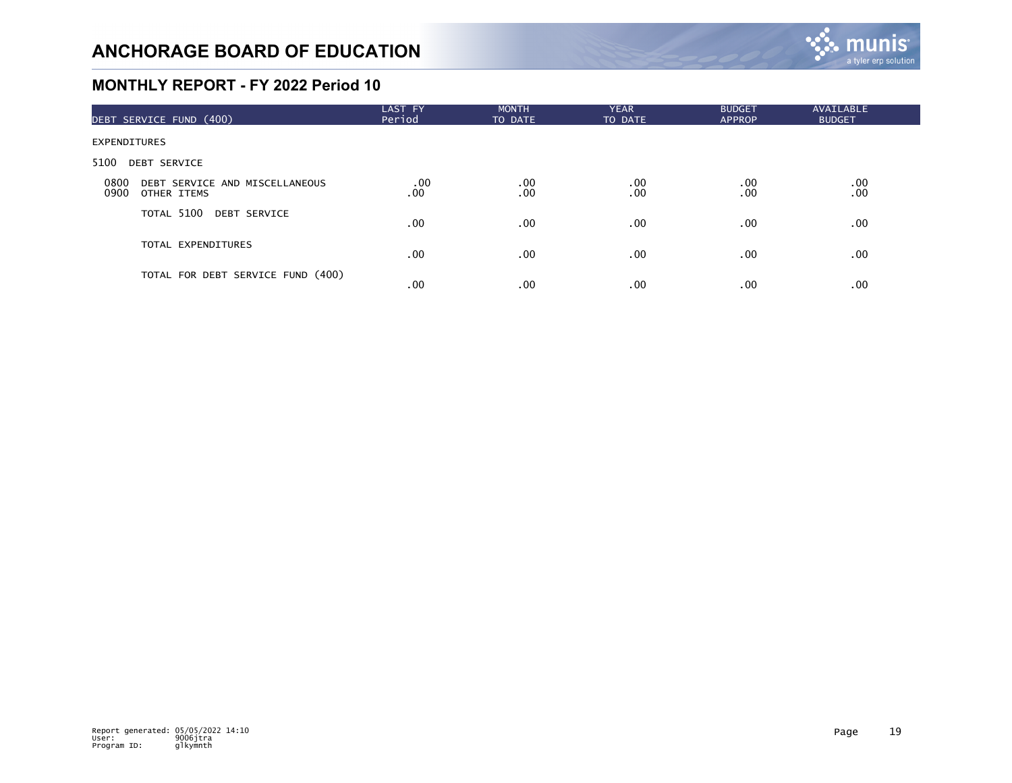

| DEBT SERVICE FUND (400)                                       | LAST FY<br>Period | <b>MONTH</b><br>TO DATE | <b>YEAR</b><br>TO DATE | <b>BUDGET</b><br><b>APPROP</b> | AVAILABLE<br><b>BUDGET</b> |  |
|---------------------------------------------------------------|-------------------|-------------------------|------------------------|--------------------------------|----------------------------|--|
| <b>EXPENDITURES</b>                                           |                   |                         |                        |                                |                            |  |
| 5100<br><b>DEBT SERVICE</b>                                   |                   |                         |                        |                                |                            |  |
| 0800<br>DEBT SERVICE AND MISCELLANEOUS<br>0900<br>OTHER ITEMS | .00<br>.00        | $.00 \,$<br>.00         | $.00 \,$<br>.00        | .00.<br>.00                    | $.00 \,$<br>.00            |  |
| TOTAL 5100 DEBT SERVICE                                       | .00 <sub>1</sub>  | .00                     | .00 <sub>1</sub>       | .00                            | .00                        |  |
| TOTAL EXPENDITURES                                            | .00 <sub>1</sub>  | .00                     | .00 <sub>1</sub>       | $.00 \,$                       | .00                        |  |
| TOTAL FOR DEBT SERVICE FUND (400)                             | .00               | .00                     | .00 <sub>1</sub>       | $.00 \,$                       | .00                        |  |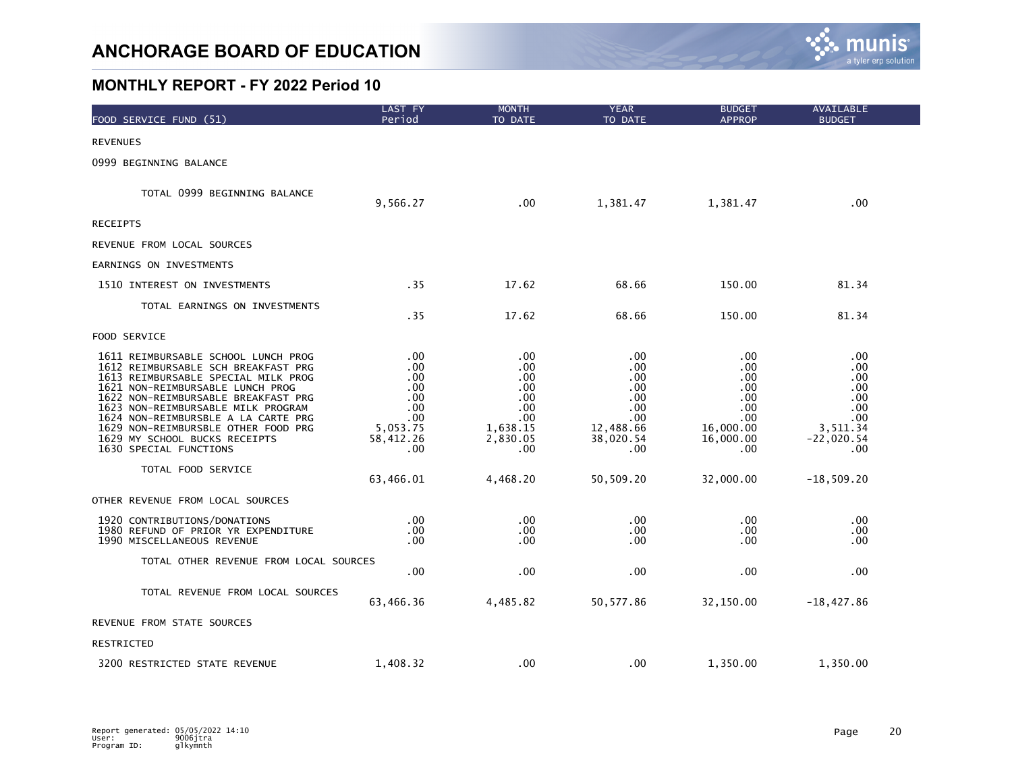

| FOOD SERVICE FUND (51)                                                                                                                                                                                                                                                                                                                                                      | LAST FY<br>Period                                                             | <b>MONTH</b><br>TO DATE                                                        | <b>YEAR</b><br>TO DATE                                                         | <b>BUDGET</b><br><b>APPROP</b>                                                   | AVAILABLE<br><b>BUDGET</b>                                                       |
|-----------------------------------------------------------------------------------------------------------------------------------------------------------------------------------------------------------------------------------------------------------------------------------------------------------------------------------------------------------------------------|-------------------------------------------------------------------------------|--------------------------------------------------------------------------------|--------------------------------------------------------------------------------|----------------------------------------------------------------------------------|----------------------------------------------------------------------------------|
| <b>REVENUES</b>                                                                                                                                                                                                                                                                                                                                                             |                                                                               |                                                                                |                                                                                |                                                                                  |                                                                                  |
| 0999 BEGINNING BALANCE                                                                                                                                                                                                                                                                                                                                                      |                                                                               |                                                                                |                                                                                |                                                                                  |                                                                                  |
| TOTAL 0999 BEGINNING BALANCE                                                                                                                                                                                                                                                                                                                                                | 9,566.27                                                                      | .00                                                                            | 1,381.47                                                                       | 1,381.47                                                                         | .00                                                                              |
| <b>RECEIPTS</b>                                                                                                                                                                                                                                                                                                                                                             |                                                                               |                                                                                |                                                                                |                                                                                  |                                                                                  |
| REVENUE FROM LOCAL SOURCES                                                                                                                                                                                                                                                                                                                                                  |                                                                               |                                                                                |                                                                                |                                                                                  |                                                                                  |
| EARNINGS ON INVESTMENTS                                                                                                                                                                                                                                                                                                                                                     |                                                                               |                                                                                |                                                                                |                                                                                  |                                                                                  |
| 1510 INTEREST ON INVESTMENTS                                                                                                                                                                                                                                                                                                                                                | .35                                                                           | 17.62                                                                          | 68.66                                                                          | 150.00                                                                           | 81.34                                                                            |
| TOTAL EARNINGS ON INVESTMENTS                                                                                                                                                                                                                                                                                                                                               | .35                                                                           | 17.62                                                                          | 68.66                                                                          | 150.00                                                                           | 81.34                                                                            |
| FOOD SERVICE                                                                                                                                                                                                                                                                                                                                                                |                                                                               |                                                                                |                                                                                |                                                                                  |                                                                                  |
| 1611 REIMBURSABLE SCHOOL LUNCH PROG<br>1612 REIMBURSABLE SCH BREAKFAST PRG<br>1613 REIMBURSABLE SPECIAL MILK PROG<br>1621 NON-REIMBURSABLE LUNCH PROG<br>1622 NON-REIMBURSABLE BREAKFAST PRG<br>1623 NON-REIMBURSABLE MILK PROGRAM<br>1624 NON-REIMBURSBLE A LA CARTE PRG<br>1629 NON-REIMBURSBLE OTHER FOOD PRG<br>1629 MY SCHOOL BUCKS RECEIPTS<br>1630 SPECIAL FUNCTIONS | .00<br>.00<br>.00<br>.00<br>.00<br>.00<br>.00<br>5,053.75<br>58,412.26<br>.00 | .00<br>.00.<br>.00.<br>.00<br>.00<br>.00<br>.00<br>1,638.15<br>2,830.05<br>.00 | .00<br>.00<br>.00<br>.00<br>.00<br>.00<br>.00<br>12,488.66<br>38,020.54<br>.00 | .00<br>.00.<br>.00.<br>.00<br>.00<br>.00<br>.00<br>16,000.00<br>16,000.00<br>.00 | .00<br>.00<br>.00<br>.00<br>.00<br>.00<br>.00<br>3.511.34<br>$-22,020.54$<br>.00 |
| TOTAL FOOD SERVICE                                                                                                                                                                                                                                                                                                                                                          | 63,466.01                                                                     | 4,468.20                                                                       | 50,509.20                                                                      | 32,000.00                                                                        | $-18,509.20$                                                                     |
| OTHER REVENUE FROM LOCAL SOURCES                                                                                                                                                                                                                                                                                                                                            |                                                                               |                                                                                |                                                                                |                                                                                  |                                                                                  |
| 1920 CONTRIBUTIONS/DONATIONS<br>1980 REFUND OF PRIOR YR EXPENDITURE<br>1990 MISCELLANEOUS REVENUE                                                                                                                                                                                                                                                                           | .00.<br>.00<br>.00                                                            | .00<br>.00.<br>.00                                                             | .00<br>.00<br>.00                                                              | .00.<br>.00.<br>.00                                                              | .00<br>.00<br>.00                                                                |
| TOTAL OTHER REVENUE FROM LOCAL SOURCES                                                                                                                                                                                                                                                                                                                                      | .00                                                                           | .00                                                                            | .00                                                                            | .00                                                                              | .00                                                                              |
| TOTAL REVENUE FROM LOCAL SOURCES                                                                                                                                                                                                                                                                                                                                            | 63,466.36                                                                     | 4,485.82                                                                       | 50, 577.86                                                                     | 32,150.00                                                                        | $-18,427.86$                                                                     |
| REVENUE FROM STATE SOURCES                                                                                                                                                                                                                                                                                                                                                  |                                                                               |                                                                                |                                                                                |                                                                                  |                                                                                  |
| RESTRICTED                                                                                                                                                                                                                                                                                                                                                                  |                                                                               |                                                                                |                                                                                |                                                                                  |                                                                                  |
| 3200 RESTRICTED STATE REVENUE                                                                                                                                                                                                                                                                                                                                               | 1,408.32                                                                      | .00                                                                            | .00                                                                            | 1,350.00                                                                         | 1,350.00                                                                         |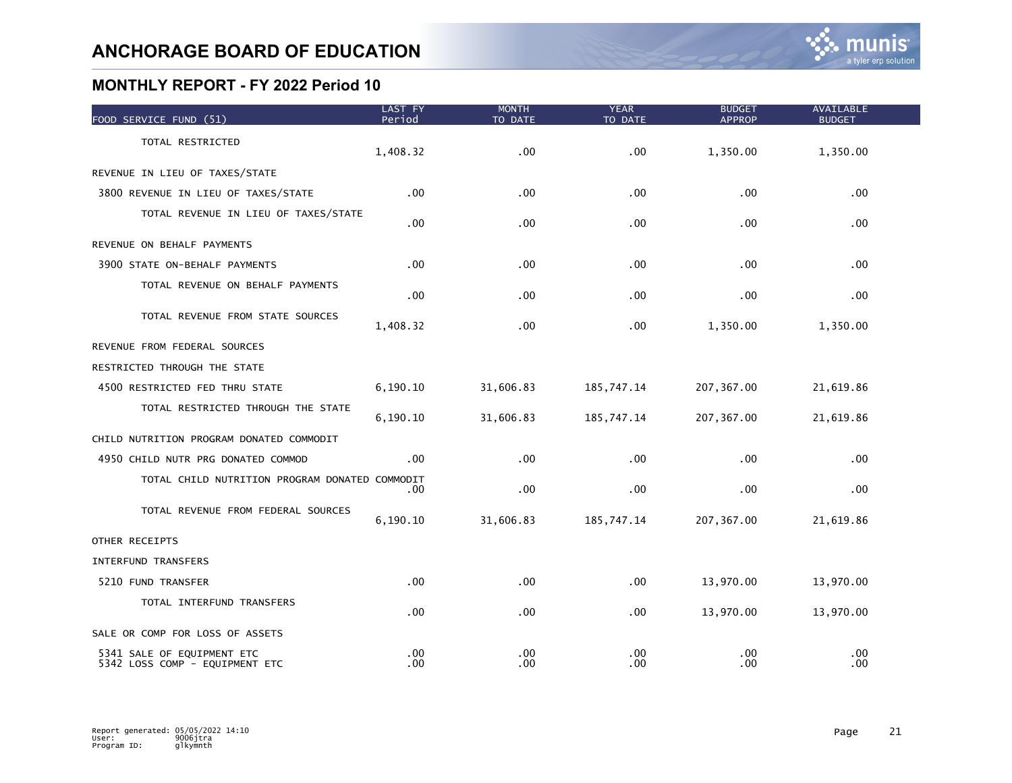| FOOD SERVICE FUND (51)                                       | LAST FY<br>Period | <b>MONTH</b><br>TO DATE | <b>YEAR</b><br>TO DATE | <b>BUDGET</b><br><b>APPROP</b> | <b>AVAILABLE</b><br><b>BUDGET</b> |  |
|--------------------------------------------------------------|-------------------|-------------------------|------------------------|--------------------------------|-----------------------------------|--|
| TOTAL RESTRICTED                                             | 1,408.32          | .00                     | .00                    | 1,350.00                       | 1,350.00                          |  |
| REVENUE IN LIEU OF TAXES/STATE                               |                   |                         |                        |                                |                                   |  |
| 3800 REVENUE IN LIEU OF TAXES/STATE                          | $.00 \,$          | .00                     | .00                    | .00                            | .00                               |  |
| TOTAL REVENUE IN LIEU OF TAXES/STATE                         | .00               | .00                     | .00                    | .00                            | .00                               |  |
| REVENUE ON BEHALF PAYMENTS                                   |                   |                         |                        |                                |                                   |  |
| 3900 STATE ON-BEHALF PAYMENTS                                | $.00 \,$          | .00                     | .00                    | .00                            | .00                               |  |
| TOTAL REVENUE ON BEHALF PAYMENTS                             | .00               | .00                     | .00                    | .00                            | .00                               |  |
| TOTAL REVENUE FROM STATE SOURCES                             | 1,408.32          | .00                     | .00                    | 1,350.00                       | 1,350.00                          |  |
| REVENUE FROM FEDERAL SOURCES                                 |                   |                         |                        |                                |                                   |  |
| RESTRICTED THROUGH THE STATE                                 |                   |                         |                        |                                |                                   |  |
| 4500 RESTRICTED FED THRU STATE                               | 6,190.10          | 31,606.83               | 185,747.14             | 207, 367.00                    | 21,619.86                         |  |
| TOTAL RESTRICTED THROUGH THE STATE                           | 6,190.10          | 31,606.83               | 185,747.14             | 207, 367.00                    | 21,619.86                         |  |
| CHILD NUTRITION PROGRAM DONATED COMMODIT                     |                   |                         |                        |                                |                                   |  |
| 4950 CHILD NUTR PRG DONATED COMMOD                           | $.00 \,$          | .00                     | .00                    | .00                            | .00                               |  |
| TOTAL CHILD NUTRITION PROGRAM DONATED COMMODIT               | .00               | .00                     | .00                    | .00                            | .00                               |  |
| TOTAL REVENUE FROM FEDERAL SOURCES                           | 6,190.10          | 31,606.83               | 185,747.14             | 207, 367.00                    | 21,619.86                         |  |
| OTHER RECEIPTS                                               |                   |                         |                        |                                |                                   |  |
| INTERFUND TRANSFERS                                          |                   |                         |                        |                                |                                   |  |
| 5210 FUND TRANSFER                                           | .00               | .00                     | .00                    | 13,970.00                      | 13,970.00                         |  |
| TOTAL INTERFUND TRANSFERS                                    | .00               | .00                     | .00                    | 13,970.00                      | 13,970.00                         |  |
| SALE OR COMP FOR LOSS OF ASSETS                              |                   |                         |                        |                                |                                   |  |
| 5341 SALE OF EQUIPMENT ETC<br>5342 LOSS COMP - EQUIPMENT ETC | .00<br>.00        | .00<br>.00              | .00<br>.00             | .00<br>.00                     | .00<br>.00                        |  |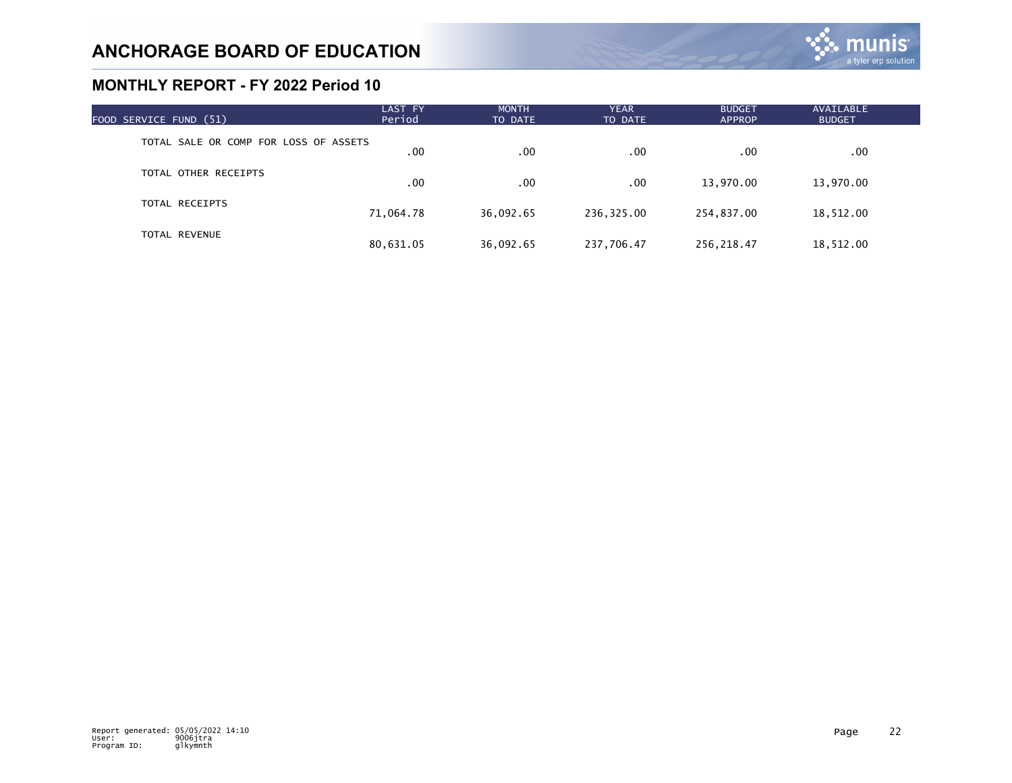| FOOD SERVICE FUND (51)                | LAST FY<br>Period | <b>MONTH</b><br>TO DATE | <b>YEAR</b><br>TO DATE | <b>BUDGET</b><br><b>APPROP</b> | AVAILABLE<br><b>BUDGET</b> |  |
|---------------------------------------|-------------------|-------------------------|------------------------|--------------------------------|----------------------------|--|
| TOTAL SALE OR COMP FOR LOSS OF ASSETS | .00               | .00                     | .00                    | .00                            | $.00 \times$               |  |
| TOTAL OTHER RECEIPTS                  | .00               | .00                     | .00                    | 13,970.00                      | 13,970.00                  |  |
| TOTAL RECEIPTS                        | 71,064.78         | 36,092.65               | 236,325.00             | 254,837.00                     | 18,512.00                  |  |
| <b>TOTAL REVENUE</b>                  | 80,631.05         | 36,092.65               | 237,706.47             | 256.218.47                     | 18,512.00                  |  |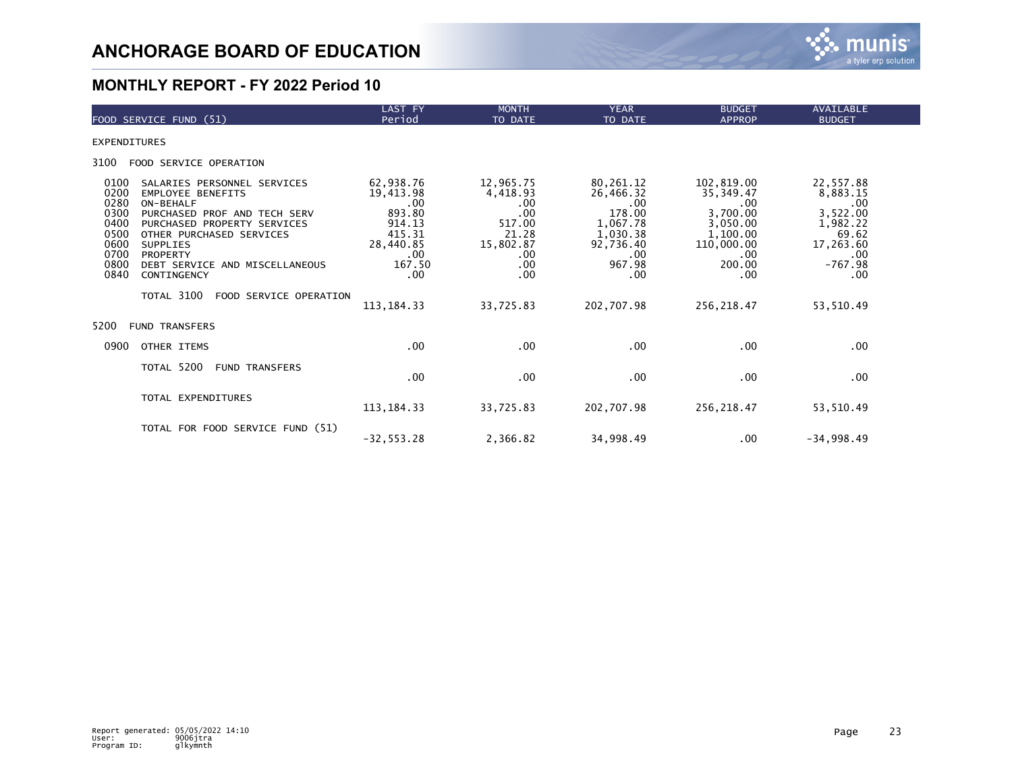

| FOOD SERVICE FUND (51)                                                                                                                                                                                                                                                                                                                                                         | LAST FY<br>Period                                                                                                               | <b>MONTH</b><br>TO DATE                                                                                              | <b>YEAR</b><br>TO DATE                                                                                                       | <b>BUDGET</b><br><b>APPROP</b>                                                                                          | <b>AVAILABLE</b><br><b>BUDGET</b>                                                                                   |
|--------------------------------------------------------------------------------------------------------------------------------------------------------------------------------------------------------------------------------------------------------------------------------------------------------------------------------------------------------------------------------|---------------------------------------------------------------------------------------------------------------------------------|----------------------------------------------------------------------------------------------------------------------|------------------------------------------------------------------------------------------------------------------------------|-------------------------------------------------------------------------------------------------------------------------|---------------------------------------------------------------------------------------------------------------------|
| <b>EXPENDITURES</b>                                                                                                                                                                                                                                                                                                                                                            |                                                                                                                                 |                                                                                                                      |                                                                                                                              |                                                                                                                         |                                                                                                                     |
| 3100<br>FOOD SERVICE OPERATION                                                                                                                                                                                                                                                                                                                                                 |                                                                                                                                 |                                                                                                                      |                                                                                                                              |                                                                                                                         |                                                                                                                     |
| 0100<br>SALARIES PERSONNEL SERVICES<br>0200<br><b>EMPLOYEE BENEFITS</b><br>0280<br>ON-BEHALF<br>0300<br>PURCHASED PROF AND TECH SERV<br>0400<br>PURCHASED PROPERTY SERVICES<br>0500<br>OTHER PURCHASED SERVICES<br>0600<br><b>SUPPLIES</b><br>0700<br><b>PROPERTY</b><br>0800<br>DEBT SERVICE AND MISCELLANEOUS<br>0840<br>CONTINGENCY<br>TOTAL 3100<br>FOOD SERVICE OPERATION | 62,938.76<br>19,413.98<br>$.00 \,$<br>893.80<br>914.13<br>415.31<br>28,440.85<br>$.00 \,$<br>167.50<br>$.00 \,$<br>113, 184. 33 | 12,965.75<br>4,418.93<br>$.00 \,$<br>.00<br>517.00<br>21.28<br>15,802.87<br>$.00 \,$<br>$.00 \,$<br>.00<br>33,725.83 | 80,261.12<br>26,466.32<br>$.00 \,$<br>178.00<br>1,067.78<br>1,030.38<br>92,736.40<br>$.00 \,$<br>967.98<br>.00<br>202,707.98 | 102,819.00<br>35, 349.47<br>.00<br>3,700.00<br>3,050.00<br>1,100.00<br>110,000.00<br>.00<br>200.00<br>.00<br>256,218.47 | 22,557.88<br>8,883.15<br>.00<br>3,522.00<br>1,982.22<br>69.62<br>17,263.60<br>.00<br>$-767.98$<br>.00<br>53, 510.49 |
| 5200<br><b>FUND TRANSFERS</b>                                                                                                                                                                                                                                                                                                                                                  |                                                                                                                                 |                                                                                                                      |                                                                                                                              |                                                                                                                         |                                                                                                                     |
| 0900<br>OTHER ITEMS                                                                                                                                                                                                                                                                                                                                                            | $.00 \,$                                                                                                                        | .00.                                                                                                                 | $.00 \,$                                                                                                                     | .00                                                                                                                     | .00                                                                                                                 |
| TOTAL 5200<br><b>FUND TRANSFERS</b>                                                                                                                                                                                                                                                                                                                                            | .00                                                                                                                             | .00                                                                                                                  | .00                                                                                                                          | .00                                                                                                                     | .00                                                                                                                 |
| TOTAL EXPENDITURES                                                                                                                                                                                                                                                                                                                                                             | 113, 184. 33                                                                                                                    | 33,725.83                                                                                                            | 202,707.98                                                                                                                   | 256,218.47                                                                                                              | 53,510.49                                                                                                           |
| TOTAL FOR FOOD SERVICE FUND (51)                                                                                                                                                                                                                                                                                                                                               | $-32, 553.28$                                                                                                                   | 2,366.82                                                                                                             | 34,998.49                                                                                                                    | .00                                                                                                                     | $-34,998.49$                                                                                                        |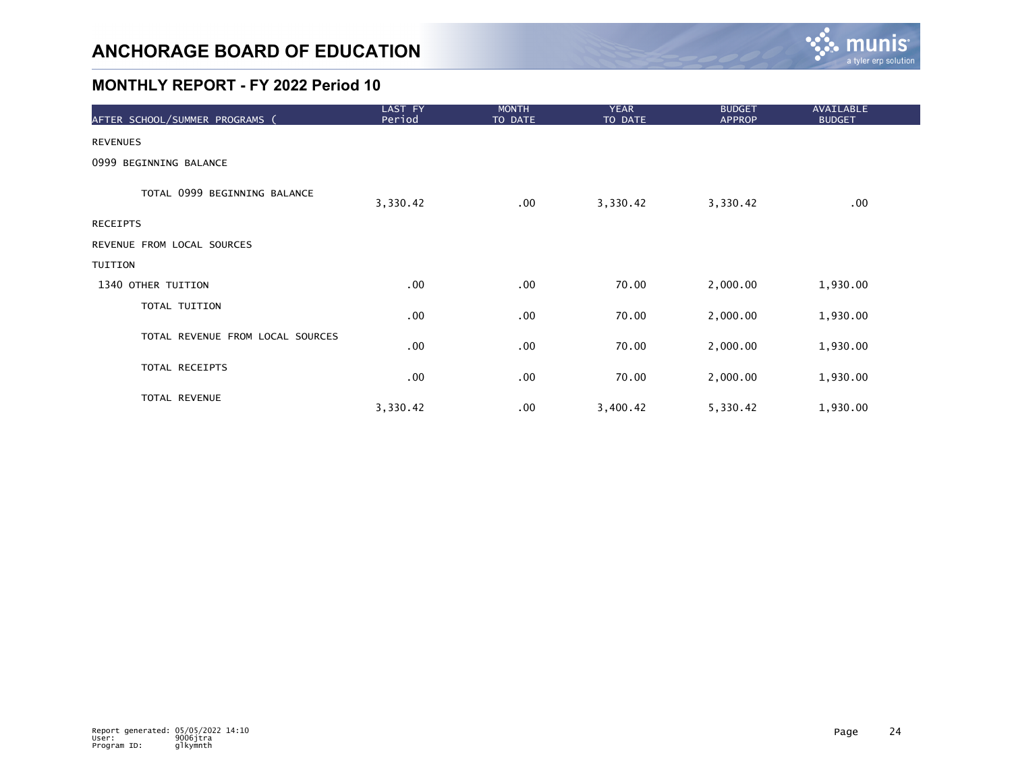

| AFTER SCHOOL/SUMMER PROGRAMS (   | LAST FY<br>Period | <b>MONTH</b><br>TO DATE | <b>YEAR</b><br>TO DATE | <b>BUDGET</b><br><b>APPROP</b> | <b>AVAILABLE</b><br><b>BUDGET</b> |
|----------------------------------|-------------------|-------------------------|------------------------|--------------------------------|-----------------------------------|
| <b>REVENUES</b>                  |                   |                         |                        |                                |                                   |
| 0999 BEGINNING BALANCE           |                   |                         |                        |                                |                                   |
| TOTAL 0999 BEGINNING BALANCE     | 3,330.42          | $.00 \,$                | 3,330.42               | 3,330.42                       | .00                               |
| RECEIPTS                         |                   |                         |                        |                                |                                   |
| REVENUE FROM LOCAL SOURCES       |                   |                         |                        |                                |                                   |
| TUITION                          |                   |                         |                        |                                |                                   |
| 1340 OTHER TUITION               | .00               | .00                     | 70.00                  | 2,000.00                       | 1,930.00                          |
| TOTAL TUITION                    | .00               | .00                     | 70.00                  | 2,000.00                       | 1,930.00                          |
| TOTAL REVENUE FROM LOCAL SOURCES | .00               | .00                     | 70.00                  | 2,000.00                       | 1,930.00                          |
| TOTAL RECEIPTS                   | .00               | .00                     | 70.00                  | 2,000.00                       | 1,930.00                          |
| TOTAL REVENUE                    | 3,330.42          | .00                     | 3,400.42               | 5,330.42                       | 1,930.00                          |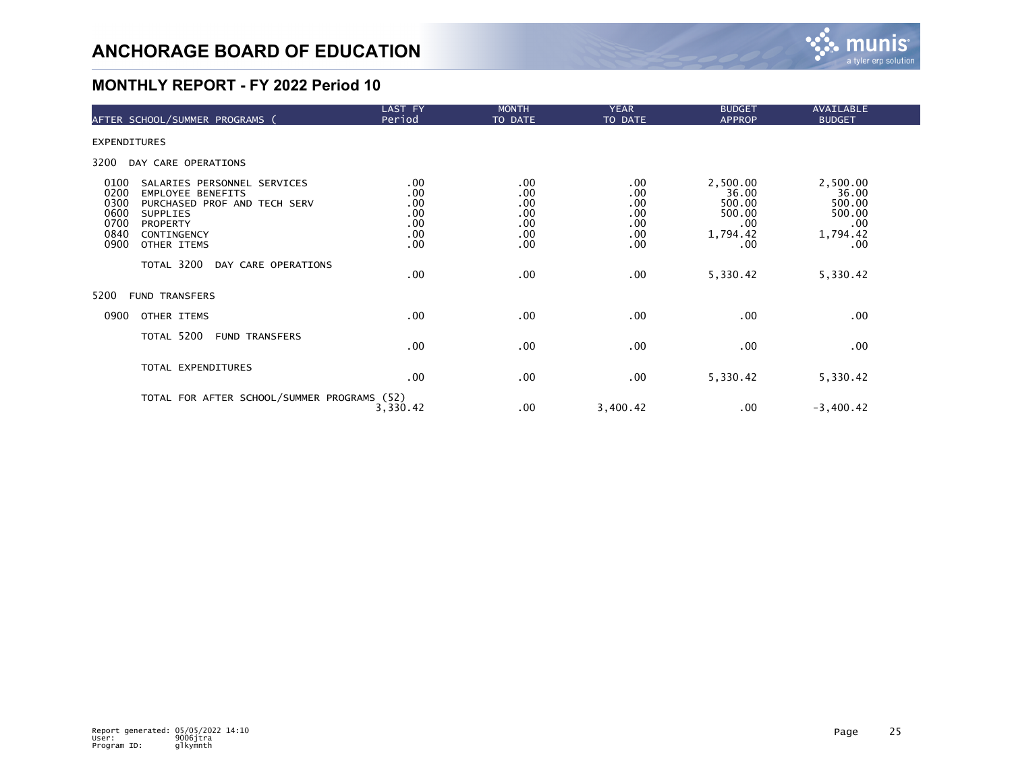

|                                                      | AFTER SCHOOL/SUMMER PROGRAMS (                                                                                                                              | LAST FY<br>Period                             | <b>MONTH</b><br>TO DATE                       | <b>YEAR</b><br>TO DATE                                  | <b>BUDGET</b><br><b>APPROP</b>                                       | <b>AVAILABLE</b><br><b>BUDGET</b>                               |  |
|------------------------------------------------------|-------------------------------------------------------------------------------------------------------------------------------------------------------------|-----------------------------------------------|-----------------------------------------------|---------------------------------------------------------|----------------------------------------------------------------------|-----------------------------------------------------------------|--|
| EXPENDITURES                                         |                                                                                                                                                             |                                               |                                               |                                                         |                                                                      |                                                                 |  |
| 3200                                                 | DAY CARE OPERATIONS                                                                                                                                         |                                               |                                               |                                                         |                                                                      |                                                                 |  |
| 0100<br>0200<br>0300<br>0600<br>0700<br>0840<br>0900 | SALARIES PERSONNEL SERVICES<br><b>EMPLOYEE BENEFITS</b><br>PURCHASED PROF AND TECH SERV<br><b>SUPPLIES</b><br><b>PROPERTY</b><br>CONTINGENCY<br>OTHER ITEMS | .00<br>.00<br>.00<br>.00<br>.00<br>.00<br>.00 | .00<br>.00<br>.00<br>.00<br>.00<br>.00<br>.00 | $.00 \,$<br>.00<br>.00<br>.00<br>.00<br>.00<br>$.00 \,$ | 2,500.00<br>36.00<br>500.00<br>500.00<br>$.00 \,$<br>1,794.42<br>.00 | 2,500.00<br>36.00<br>500.00<br>500.00<br>.00<br>1,794.42<br>.00 |  |
|                                                      | TOTAL 3200<br>DAY CARE OPERATIONS                                                                                                                           | .00                                           | .00                                           | .00                                                     | 5,330.42                                                             | 5,330.42                                                        |  |
| 5200                                                 | <b>FUND TRANSFERS</b>                                                                                                                                       |                                               |                                               |                                                         |                                                                      |                                                                 |  |
| 0900                                                 | OTHER ITEMS                                                                                                                                                 | .00                                           | .00                                           | $.00 \,$                                                | $.00 \,$                                                             | .00                                                             |  |
|                                                      | TOTAL 5200<br><b>FUND TRANSFERS</b>                                                                                                                         | .00                                           | .00                                           | .00                                                     | $.00 \,$                                                             | .00                                                             |  |
|                                                      | TOTAL EXPENDITURES                                                                                                                                          | .00                                           | .00                                           | $.00 \,$                                                | 5,330.42                                                             | 5,330.42                                                        |  |
|                                                      | TOTAL FOR AFTER SCHOOL/SUMMER PROGRAMS (52)                                                                                                                 | 3,330.42                                      | .00                                           | 3,400.42                                                | .00                                                                  | $-3,400.42$                                                     |  |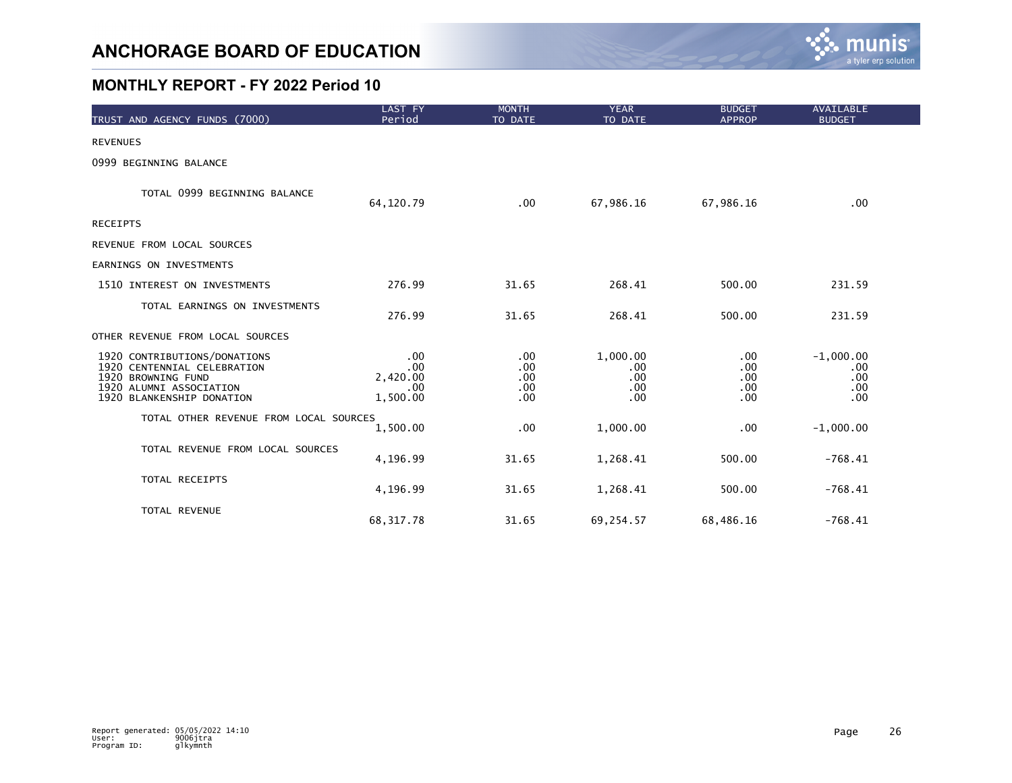

| TRUST AND AGENCY FUNDS (7000)                                                                                                             | LAST FY<br>Period                         | <b>MONTH</b><br>TO DATE         | <b>YEAR</b><br>TO DATE               | <b>BUDGET</b><br><b>APPROP</b>  | <b>AVAILABLE</b><br><b>BUDGET</b>       |  |
|-------------------------------------------------------------------------------------------------------------------------------------------|-------------------------------------------|---------------------------------|--------------------------------------|---------------------------------|-----------------------------------------|--|
| <b>REVENUES</b>                                                                                                                           |                                           |                                 |                                      |                                 |                                         |  |
| 0999 BEGINNING BALANCE                                                                                                                    |                                           |                                 |                                      |                                 |                                         |  |
| TOTAL 0999 BEGINNING BALANCE                                                                                                              | 64, 120.79                                | .00                             | 67,986.16                            | 67,986.16                       | .00 <sub>1</sub>                        |  |
| RECEIPTS                                                                                                                                  |                                           |                                 |                                      |                                 |                                         |  |
| REVENUE FROM LOCAL SOURCES                                                                                                                |                                           |                                 |                                      |                                 |                                         |  |
| EARNINGS ON INVESTMENTS                                                                                                                   |                                           |                                 |                                      |                                 |                                         |  |
| 1510 INTEREST ON INVESTMENTS                                                                                                              | 276.99                                    | 31.65                           | 268.41                               | 500.00                          | 231.59                                  |  |
| TOTAL EARNINGS ON INVESTMENTS                                                                                                             | 276.99                                    | 31.65                           | 268.41                               | 500.00                          | 231.59                                  |  |
| OTHER REVENUE FROM LOCAL SOURCES                                                                                                          |                                           |                                 |                                      |                                 |                                         |  |
| 1920 CONTRIBUTIONS/DONATIONS<br>1920 CENTENNIAL CELEBRATION<br>1920 BROWNING FUND<br>1920 ALUMNI ASSOCIATION<br>1920 BLANKENSHIP DONATION | .00<br>.00<br>2,420.00<br>.00<br>1,500.00 | .00<br>.00<br>.00<br>.00<br>.00 | 1,000.00<br>.00<br>.00<br>.00<br>.00 | .00<br>.00<br>.00<br>.00<br>.00 | $-1,000.00$<br>.00<br>.00<br>.00<br>.00 |  |
| TOTAL OTHER REVENUE FROM LOCAL SOURCES                                                                                                    | 1,500.00                                  | .00                             | 1,000.00                             | .00                             | $-1,000.00$                             |  |
| TOTAL REVENUE FROM LOCAL SOURCES                                                                                                          | 4,196.99                                  | 31.65                           | 1,268.41                             | 500.00                          | $-768.41$                               |  |
| TOTAL RECEIPTS                                                                                                                            | 4,196.99                                  | 31.65                           | 1,268.41                             | 500.00                          | $-768.41$                               |  |
| TOTAL REVENUE                                                                                                                             | 68, 317.78                                | 31.65                           | 69,254.57                            | 68,486.16                       | $-768.41$                               |  |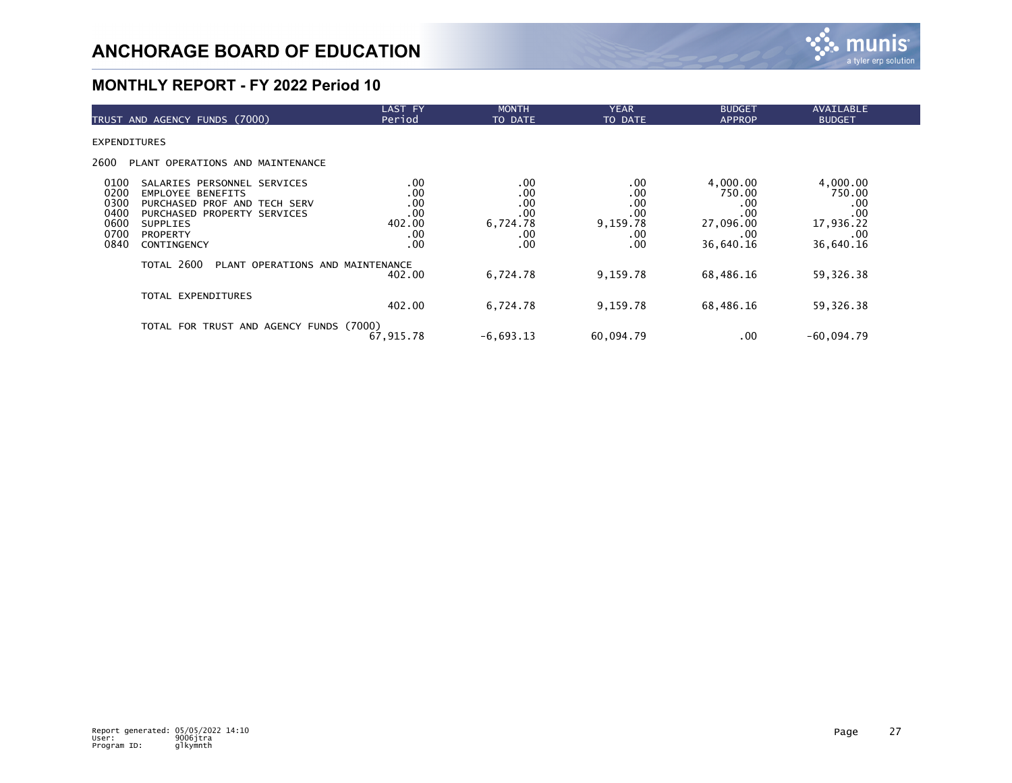

| TRUST AND AGENCY FUNDS (7000)                                                                                                                                                                                                       | <b>LAST FY</b><br>Period                         | <b>MONTH</b><br>TO DATE                            | <b>YEAR</b><br>TO DATE                             | <b>BUDGET</b><br><b>APPROP</b>                                    | <b>AVAILABLE</b><br><b>BUDGET</b>                                 |  |
|-------------------------------------------------------------------------------------------------------------------------------------------------------------------------------------------------------------------------------------|--------------------------------------------------|----------------------------------------------------|----------------------------------------------------|-------------------------------------------------------------------|-------------------------------------------------------------------|--|
| <b>EXPENDITURES</b>                                                                                                                                                                                                                 |                                                  |                                                    |                                                    |                                                                   |                                                                   |  |
| 2600<br>PLANT OPERATIONS AND MAINTENANCE                                                                                                                                                                                            |                                                  |                                                    |                                                    |                                                                   |                                                                   |  |
| 0100<br>SALARIES PERSONNEL SERVICES<br>0200<br><b>EMPLOYEE BENEFITS</b><br>0300<br>PURCHASED PROF AND TECH SERV<br>0400<br>PURCHASED PROPERTY SERVICES<br>0600<br><b>SUPPLIES</b><br>0700<br><b>PROPERTY</b><br>0840<br>CONTINGENCY | .00<br>.00<br>.00<br>.00<br>402.00<br>.00<br>.00 | .00<br>.00<br>.00<br>.00<br>6,724.78<br>.00<br>.00 | .00<br>.00<br>.00<br>.00<br>9,159.78<br>.00<br>.00 | 4,000.00<br>750.00<br>.00<br>.00<br>27,096.00<br>.00<br>36,640.16 | 4,000.00<br>750.00<br>.00<br>.00<br>17,936.22<br>.00<br>36,640.16 |  |
| TOTAL 2600<br>PLANT OPERATIONS AND MAINTENANCE                                                                                                                                                                                      | 402.00                                           | 6,724.78                                           | 9,159.78                                           | 68,486.16                                                         | 59,326.38                                                         |  |
| TOTAL EXPENDITURES                                                                                                                                                                                                                  | 402.00                                           | 6,724.78                                           | 9,159.78                                           | 68,486.16                                                         | 59,326.38                                                         |  |
| TOTAL FOR TRUST AND AGENCY FUNDS (7000)                                                                                                                                                                                             | 67,915.78                                        | $-6,693.13$                                        | 60.094.79                                          | .00                                                               | $-60,094.79$                                                      |  |